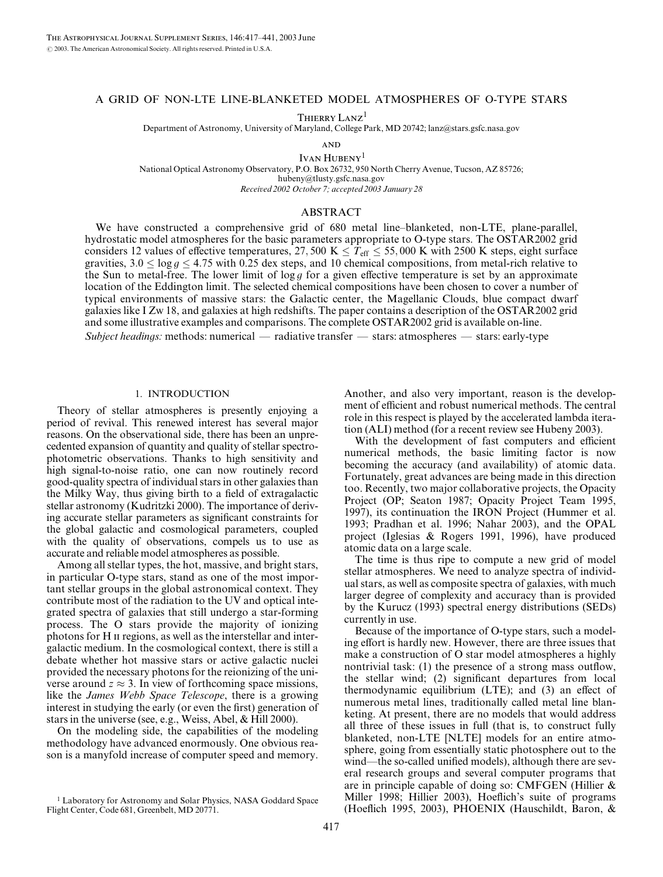### A GRID OF NON-LTE LINE-BLANKETED MODEL ATMOSPHERES OF O-TYPE STARS

THIERRY LANZ<sup>1</sup>

Department of Astronomy, University of Maryland, College Park, MD 20742; lanz@stars.gsfc.nasa.gov

**AND** 

IVAN HUBENY<sup>1</sup> National Optical Astronomy Observatory, P.O. Box 26732, 950 North Cherry Avenue, Tucson, AZ 85726; hubeny@tlusty.gsfc.nasa.gov Received 2002 October 7; accepted 2003 January 28

### ABSTRACT

We have constructed a comprehensive grid of 680 metal line–blanketed, non-LTE, plane-parallel, hydrostatic model atmospheres for the basic parameters appropriate to O-type stars. The OSTAR2002 grid considers 12 values of effective temperatures, 27, 500 K  $\leq T_{\text{eff}} \leq 55,000$  K with 2500 K steps, eight surface gravities,  $3.0 \le \log g \le 4.75$  with 0.25 dex steps, and 10 chemical compositions, from metal-rich relative to the Sun to metal-free. The lower limit of  $\log g$  for a given effective temperature is set by an approximate location of the Eddington limit. The selected chemical compositions have been chosen to cover a number of typical environments of massive stars: the Galactic center, the Magellanic Clouds, blue compact dwarf galaxies like I Zw 18, and galaxies at high redshifts. The paper contains a description of the OSTAR2002 grid and some illustrative examples and comparisons. The complete OSTAR2002 grid is available on-line. Subject headings: methods: numerical — radiative transfer — stars: atmospheres — stars: early-type

## 1. INTRODUCTION

Theory of stellar atmospheres is presently enjoying a period of revival. This renewed interest has several major reasons. On the observational side, there has been an unprecedented expansion of quantity and quality of stellar spectrophotometric observations. Thanks to high sensitivity and high signal-to-noise ratio, one can now routinely record good-quality spectra of individual stars in other galaxies than the Milky Way, thus giving birth to a field of extragalactic stellar astronomy (Kudritzki 2000). The importance of deriving accurate stellar parameters as significant constraints for the global galactic and cosmological parameters, coupled with the quality of observations, compels us to use as accurate and reliable model atmospheres as possible.

Among all stellar types, the hot, massive, and bright stars, in particular O-type stars, stand as one of the most important stellar groups in the global astronomical context. They contribute most of the radiation to the UV and optical integrated spectra of galaxies that still undergo a star-forming process. The O stars provide the majority of ionizing photons for H II regions, as well as the interstellar and intergalactic medium. In the cosmological context, there is still a debate whether hot massive stars or active galactic nuclei provided the necessary photons for the reionizing of the universe around  $z \approx 3$ . In view of forthcoming space missions, like the James Webb Space Telescope, there is a growing interest in studying the early (or even the first) generation of stars in the universe (see, e.g., Weiss, Abel, & Hill 2000).

On the modeling side, the capabilities of the modeling methodology have advanced enormously. One obvious reason is a manyfold increase of computer speed and memory.

Another, and also very important, reason is the development of efficient and robust numerical methods. The central role in this respect is played by the accelerated lambda iteration (ALI) method (for a recent review see Hubeny 2003).

With the development of fast computers and efficient numerical methods, the basic limiting factor is now becoming the accuracy (and availability) of atomic data. Fortunately, great advances are being made in this direction too. Recently, two major collaborative projects, the Opacity Project (OP; Seaton 1987; Opacity Project Team 1995, 1997), its continuation the IRON Project (Hummer et al. 1993; Pradhan et al. 1996; Nahar 2003), and the OPAL project (Iglesias & Rogers 1991, 1996), have produced atomic data on a large scale.

The time is thus ripe to compute a new grid of model stellar atmospheres. We need to analyze spectra of individual stars, as well as composite spectra of galaxies, with much larger degree of complexity and accuracy than is provided by the Kurucz (1993) spectral energy distributions (SEDs) currently in use.

Because of the importance of O-type stars, such a modeling effort is hardly new. However, there are three issues that make a construction of O star model atmospheres a highly nontrivial task: (1) the presence of a strong mass outflow, the stellar wind; (2) significant departures from local thermodynamic equilibrium (LTE); and (3) an effect of numerous metal lines, traditionally called metal line blanketing. At present, there are no models that would address all three of these issues in full (that is, to construct fully blanketed, non-LTE [NLTE] models for an entire atmosphere, going from essentially static photosphere out to the wind—the so-called unified models), although there are several research groups and several computer programs that are in principle capable of doing so: CMFGEN (Hillier & Miller 1998; Hillier 2003), Hoeflich's suite of programs (Hoeflich 1995, 2003), PHOENIX (Hauschildt, Baron, &

<sup>&</sup>lt;sup>1</sup> Laboratory for Astronomy and Solar Physics, NASA Goddard Space Flight Center, Code 681, Greenbelt, MD 20771.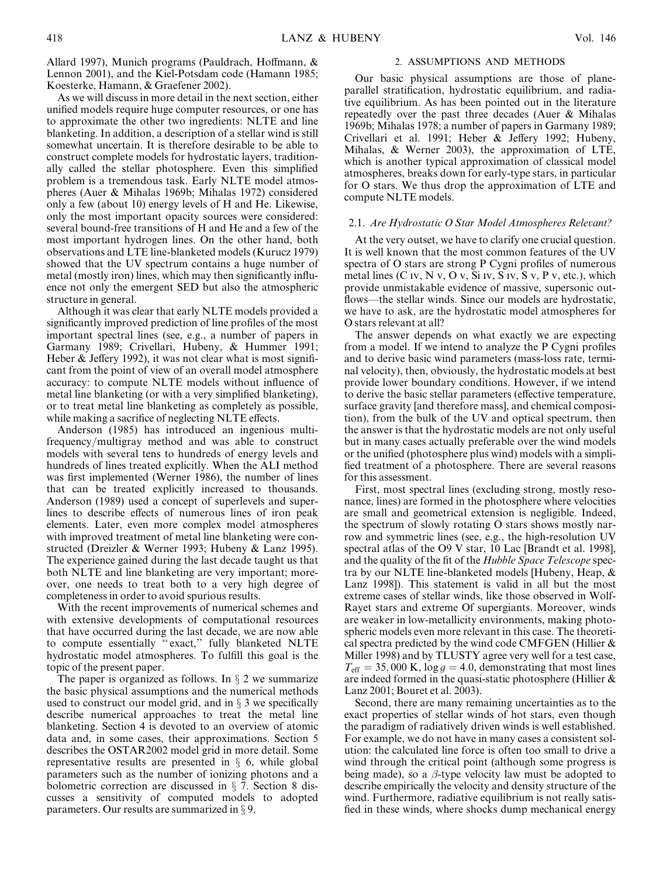Allard 1997), Munich programs (Pauldrach, Hoffmann, & Lennon 2001), and the Kiel-Potsdam code (Hamann 1985; Koesterke, Hamann, & Graefener 2002).

As we will discuss in more detail in the next section, either unified models require huge computer resources, or one has to approximate the other two ingredients: NLTE and line blanketing. In addition, a description of a stellar wind is still somewhat uncertain. It is therefore desirable to be able to construct complete models for hydrostatic layers, traditionally called the stellar photosphere. Even this simplified problem is a tremendous task. Early NLTE model atmospheres (Auer & Mihalas 1969b; Mihalas 1972) considered only a few (about 10) energy levels of H and He. Likewise, only the most important opacity sources were considered: several bound-free transitions of H and He and a few of the most important hydrogen lines. On the other hand, both observations and LTE line-blanketed models (Kurucz 1979) showed that the UV spectrum contains a huge number of metal (mostly iron) lines, which may then significantly influence not only the emergent SED but also the atmospheric structure in general.

Although it was clear that early NLTE models provided a significantly improved prediction of line profiles of the most important spectral lines (see, e.g., a number of papers in Garmany 1989; Crivellari, Hubeny, & Hummer 1991; Heber & Jeffery 1992), it was not clear what is most significant from the point of view of an overall model atmosphere accuracy: to compute NLTE models without influence of metal line blanketing (or with a very simplified blanketing), or to treat metal line blanketing as completely as possible, while making a sacrifice of neglecting NLTE effects.

Anderson (1985) has introduced an ingenious multifrequency/multigray method and was able to construct models with several tens to hundreds of energy levels and hundreds of lines treated explicitly. When the ALI method was first implemented (Werner 1986), the number of lines that can be treated explicitly increased to thousands. Anderson (1989) used a concept of superlevels and superlines to describe effects of numerous lines of iron peak elements. Later, even more complex model atmospheres with improved treatment of metal line blanketing were constructed (Dreizler & Werner 1993; Hubeny & Lanz 1995). The experience gained during the last decade taught us that both NLTE and line blanketing are very important; moreover, one needs to treat both to a very high degree of completeness in order to avoid spurious results.

With the recent improvements of numerical schemes and with extensive developments of computational resources that have occurred during the last decade, we are now able to compute essentially '' exact,'' fully blanketed NLTE hydrostatic model atmospheres. To fulfill this goal is the topic of the present paper.

The paper is organized as follows. In  $\S 2$  we summarize the basic physical assumptions and the numerical methods used to construct our model grid, and in  $\S$  3 we specifically describe numerical approaches to treat the metal line blanketing. Section 4 is devoted to an overview of atomic data and, in some cases, their approximations. Section 5 describes the OSTAR2002 model grid in more detail. Some representative results are presented in  $\S$  6, while global parameters such as the number of ionizing photons and a bolometric correction are discussed in  $\S$  7. Section 8 discusses a sensitivity of computed models to adopted parameters. Our results are summarized in  $\S$  9.

#### 2. ASSUMPTIONS AND METHODS

Our basic physical assumptions are those of planeparallel stratification, hydrostatic equilibrium, and radiative equilibrium. As has been pointed out in the literature repeatedly over the past three decades (Auer & Mihalas 1969b; Mihalas 1978; a number of papers in Garmany 1989; Crivellari et al. 1991; Heber & Jeffery 1992; Hubeny, Mihalas, & Werner 2003), the approximation of LTE, which is another typical approximation of classical model atmospheres, breaks down for early-type stars, in particular for O stars. We thus drop the approximation of LTE and compute NLTE models.

### 2.1. Are Hydrostatic O Star Model Atmospheres Relevant?

At the very outset, we have to clarify one crucial question. It is well known that the most common features of the UV spectra of O stars are strong P Cygni profiles of numerous metal lines (C iv, N v, O v, Si iv, S iv, S v, P v, etc.), which provide unmistakable evidence of massive, supersonic outflows—the stellar winds. Since our models are hydrostatic, we have to ask, are the hydrostatic model atmospheres for O stars relevant at all?

The answer depends on what exactly we are expecting from a model. If we intend to analyze the P Cygni profiles and to derive basic wind parameters (mass-loss rate, terminal velocity), then, obviously, the hydrostatic models at best provide lower boundary conditions. However, if we intend to derive the basic stellar parameters (effective temperature, surface gravity [and therefore mass], and chemical composition), from the bulk of the UV and optical spectrum, then the answer is that the hydrostatic models are not only useful but in many cases actually preferable over the wind models or the unified (photosphere plus wind) models with a simplified treatment of a photosphere. There are several reasons for this assessment.

First, most spectral lines (excluding strong, mostly resonance, lines) are formed in the photosphere where velocities are small and geometrical extension is negligible. Indeed, the spectrum of slowly rotating O stars shows mostly narrow and symmetric lines (see, e.g., the high-resolution UV spectral atlas of the O9 V star, 10 Lac [Brandt et al. 1998], and the quality of the fit of the Hubble Space Telescope spectra by our NLTE line-blanketed models [Hubeny, Heap, & Lanz 1998]). This statement is valid in all but the most extreme cases of stellar winds, like those observed in Wolf-Rayet stars and extreme Of supergiants. Moreover, winds are weaker in low-metallicity environments, making photospheric models even more relevant in this case. The theoretical spectra predicted by the wind code CMFGEN (Hillier & Miller 1998) and by TLUSTY agree very well for a test case,  $T_{\text{eff}} = 35,000 \text{ K}, \log g = 4.0, \text{ demonstrating that most lines}$ are indeed formed in the quasi-static photosphere (Hillier & Lanz 2001; Bouret et al. 2003).

Second, there are many remaining uncertainties as to the exact properties of stellar winds of hot stars, even though the paradigm of radiatively driven winds is well established. For example, we do not have in many cases a consistent solution: the calculated line force is often too small to drive a wind through the critical point (although some progress is being made), so a  $\beta$ -type velocity law must be adopted to describe empirically the velocity and density structure of the wind. Furthermore, radiative equilibrium is not really satisfied in these winds, where shocks dump mechanical energy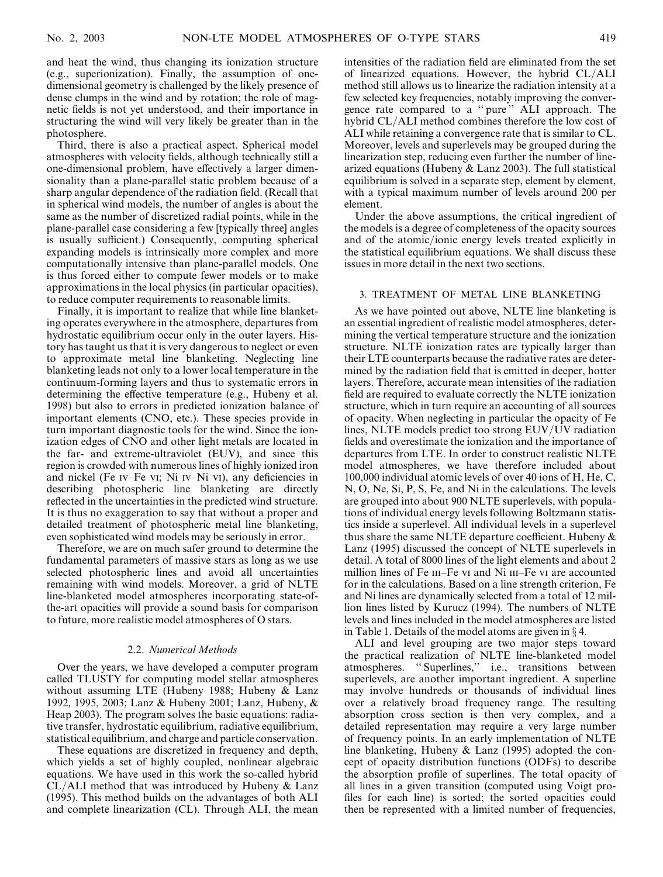and heat the wind, thus changing its ionization structure (e.g., superionization). Finally, the assumption of onedimensional geometry is challenged by the likely presence of dense clumps in the wind and by rotation; the role of magnetic fields is not yet understood, and their importance in structuring the wind will very likely be greater than in the photosphere.

Third, there is also a practical aspect. Spherical model atmospheres with velocity fields, although technically still a one-dimensional problem, have effectively a larger dimensionality than a plane-parallel static problem because of a sharp angular dependence of the radiation field. (Recall that in spherical wind models, the number of angles is about the same as the number of discretized radial points, while in the plane-parallel case considering a few [typically three] angles is usually sufficient.) Consequently, computing spherical expanding models is intrinsically more complex and more computationally intensive than plane-parallel models. One is thus forced either to compute fewer models or to make approximations in the local physics (in particular opacities), to reduce computer requirements to reasonable limits.

Finally, it is important to realize that while line blanketing operates everywhere in the atmosphere, departures from hydrostatic equilibrium occur only in the outer layers. History has taught us that it is very dangerous to neglect or even to approximate metal line blanketing. Neglecting line blanketing leads not only to a lower local temperature in the continuum-forming layers and thus to systematic errors in determining the effective temperature (e.g., Hubeny et al. 1998) but also to errors in predicted ionization balance of important elements (CNO, etc.). These species provide in turn important diagnostic tools for the wind. Since the ionization edges of CNO and other light metals are located in the far- and extreme-ultraviolet (EUV), and since this region is crowded with numerous lines of highly ionized iron and nickel (Fe iv–Fe vi; Ni iv–Ni vi), any deficiencies in describing photospheric line blanketing are directly reflected in the uncertainties in the predicted wind structure. It is thus no exaggeration to say that without a proper and detailed treatment of photospheric metal line blanketing, even sophisticated wind models may be seriously in error.

Therefore, we are on much safer ground to determine the fundamental parameters of massive stars as long as we use selected photospheric lines and avoid all uncertainties remaining with wind models. Moreover, a grid of NLTE line-blanketed model atmospheres incorporating state-ofthe-art opacities will provide a sound basis for comparison to future, more realistic model atmospheres of O stars.

### 2.2. Numerical Methods

Over the years, we have developed a computer program called TLUSTY for computing model stellar atmospheres without assuming LTE (Hubeny 1988; Hubeny & Lanz 1992, 1995, 2003; Lanz & Hubeny 2001; Lanz, Hubeny, & Heap 2003). The program solves the basic equations: radiative transfer, hydrostatic equilibrium, radiative equilibrium, statistical equilibrium, and charge and particle conservation.

These equations are discretized in frequency and depth, which yields a set of highly coupled, nonlinear algebraic equations. We have used in this work the so-called hybrid  $CL/ALL$  method that was introduced by Hubeny  $\&$  Lanz (1995). This method builds on the advantages of both ALI and complete linearization (CL). Through ALI, the mean

intensities of the radiation field are eliminated from the set of linearized equations. However, the hybrid CL/ALI method still allows us to linearize the radiation intensity at a few selected key frequencies, notably improving the convergence rate compared to a '' pure '' ALI approach. The hybrid CL/ALI method combines therefore the low cost of ALI while retaining a convergence rate that is similar to CL. Moreover, levels and superlevels may be grouped during the linearization step, reducing even further the number of linearized equations (Hubeny & Lanz 2003). The full statistical equilibrium is solved in a separate step, element by element, with a typical maximum number of levels around 200 per element.

Under the above assumptions, the critical ingredient of the models is a degree of completeness of the opacity sources and of the atomic/ionic energy levels treated explicitly in the statistical equilibrium equations. We shall discuss these issues in more detail in the next two sections.

### 3. TREATMENT OF METAL LINE BLANKETING

As we have pointed out above, NLTE line blanketing is an essential ingredient of realistic model atmospheres, determining the vertical temperature structure and the ionization structure. NLTE ionization rates are typically larger than their LTE counterparts because the radiative rates are determined by the radiation field that is emitted in deeper, hotter layers. Therefore, accurate mean intensities of the radiation field are required to evaluate correctly the NLTE ionization structure, which in turn require an accounting of all sources of opacity. When neglecting in particular the opacity of Fe lines, NLTE models predict too strong EUV/UV radiation fields and overestimate the ionization and the importance of departures from LTE. In order to construct realistic NLTE model atmospheres, we have therefore included about 100,000 individual atomic levels of over 40 ions of H, He, C, N, O, Ne, Si, P, S, Fe, and Ni in the calculations. The levels are grouped into about 900 NLTE superlevels, with populations of individual energy levels following Boltzmann statistics inside a superlevel. All individual levels in a superlevel thus share the same NLTE departure coefficient. Hubeny  $\&$ Lanz (1995) discussed the concept of NLTE superlevels in detail. A total of 8000 lines of the light elements and about 2 million lines of Fe III–Fe vi and Ni III–Fe vi are accounted for in the calculations. Based on a line strength criterion, Fe and Ni lines are dynamically selected from a total of 12 million lines listed by Kurucz (1994). The numbers of NLTE levels and lines included in the model atmospheres are listed in Table 1. Details of the model atoms are given in  $\S$  4.

ALI and level grouping are two major steps toward the practical realization of NLTE line-blanketed model atmospheres. '' Superlines,'' i.e., transitions between superlevels, are another important ingredient. A superline may involve hundreds or thousands of individual lines over a relatively broad frequency range. The resulting absorption cross section is then very complex, and a detailed representation may require a very large number of frequency points. In an early implementation of NLTE line blanketing, Hubeny & Lanz (1995) adopted the concept of opacity distribution functions (ODFs) to describe the absorption profile of superlines. The total opacity of all lines in a given transition (computed using Voigt profiles for each line) is sorted; the sorted opacities could then be represented with a limited number of frequencies,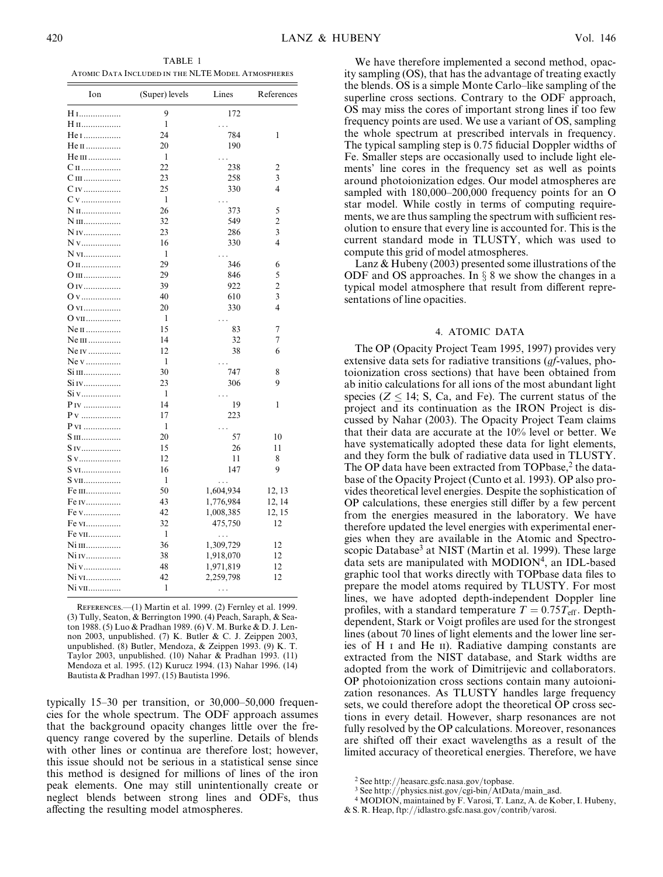TABLE 1 Atomic Data Included in the NLTE Model Atmospheres

| Ion               | (Super) levels | Lines      | References |
|-------------------|----------------|------------|------------|
| H I               | 9              | 172        |            |
| Н п               | 1              | .          |            |
| He 1              | 24             | 784        | 1          |
| $He II$           | 20             | 190        |            |
| He $m$            | 1              | .          |            |
| $C_{II}$          | 22             | 238        | 2          |
| $C$ III           | 23             | 258        | 3          |
|                   | 25             | 330        | 4          |
| $Cv$              | 1              | .          |            |
| N <sub>II</sub>   | 26             | 373        | 5          |
| N III             | 32             | 549        | 2          |
| N <sub>IV</sub>   | 23             | 286        | 3          |
|                   | 16             | 330        | 4          |
| N v <sub>I</sub>  | 1              |            |            |
|                   | 29             |            |            |
| O II              | 29             | 346<br>846 | 6          |
| O III             |                |            | 5          |
| 0 iv              | 39             | 922        | 2          |
| 0 v               | 40             | 610        | 3          |
| 0 vi              | 20             | 330        | 4          |
| O vII             | 1              |            |            |
| Ne II             | 15             | 83         | 7          |
| Ne III            | 14             | 32         | 7          |
| Ne <i>IV</i>      | 12             | 38         | 6          |
| Ne v              | 1              |            |            |
| Si III            | 30             | 747        | 8          |
| Si IV             | 23             | 306        | 9          |
| $Siv$             | 1              |            |            |
| P <sub>IV</sub>   | 14             | 19         | 1          |
| $P_{V}$           | 17             | 223        |            |
| P VI              | 1              | .          |            |
| S III             | 20             | 57         | 10         |
|                   | 15             | 26         | 11         |
| S v               | 12             | 11         | 8          |
| S v <sub>I</sub>  | 16             | 147        | 9          |
| S vII             | 1              | .          |            |
| Fe III            | 50             | 1,604,934  | 12, 13     |
| Fe <i>IV</i>      | 43             | 1,776,984  | 12, 14     |
| Fe v              | 42             | 1,008,385  | 12, 15     |
| Fe v <sub>I</sub> | 32             | 475,750    | 12         |
| Fe vII            | 1              | .          |            |
| Ni 111            | 36             | 1,309,729  | 12         |
| Ni IV             | 38             | 1,918,070  | 12         |
| Ni v              | 48             | 1,971,819  | 12         |
| Ni vi             | 42             | 2,259,798  | 12         |
| Ni vii            | 1              |            |            |

References.—(1) Martin et al. 1999. (2) Fernley et al. 1999. (3) Tully, Seaton, & Berrington 1990. (4) Peach, Saraph, & Seaton 1988. (5) Luo & Pradhan 1989. (6) V. M. Burke & D. J. Lennon 2003, unpublished. (7) K. Butler & C. J. Zeippen 2003, unpublished. (8) Butler, Mendoza, & Zeippen 1993. (9) K. T. Taylor 2003, unpublished. (10) Nahar  $\&$  Pradhan 1993. (11) Mendoza et al. 1995. (12) Kurucz 1994. (13) Nahar 1996. (14) Bautista & Pradhan 1997. (15) Bautista 1996.

typically 15–30 per transition, or 30,000–50,000 frequencies for the whole spectrum. The ODF approach assumes that the background opacity changes little over the frequency range covered by the superline. Details of blends with other lines or continua are therefore lost; however, this issue should not be serious in a statistical sense since this method is designed for millions of lines of the iron peak elements. One may still unintentionally create or neglect blends between strong lines and ODFs, thus affecting the resulting model atmospheres.

We have therefore implemented a second method, opacity sampling (OS), that has the advantage of treating exactly the blends. OS is a simple Monte Carlo–like sampling of the superline cross sections. Contrary to the ODF approach, OS may miss the cores of important strong lines if too few frequency points are used. We use a variant of OS, sampling the whole spectrum at prescribed intervals in frequency. The typical sampling step is 0.75 fiducial Doppler widths of Fe. Smaller steps are occasionally used to include light elements' line cores in the frequency set as well as points around photoionization edges. Our model atmospheres are sampled with 180,000–200,000 frequency points for an O star model. While costly in terms of computing requirements, we are thus sampling the spectrum with sufficient resolution to ensure that every line is accounted for. This is the current standard mode in TLUSTY, which was used to compute this grid of model atmospheres.

Lanz & Hubeny (2003) presented some illustrations of the ODF and OS approaches. In  $\S$  8 we show the changes in a typical model atmosphere that result from different representations of line opacities.

## 4. ATOMIC DATA

The OP (Opacity Project Team 1995, 1997) provides very extensive data sets for radiative transitions (*gf*-values, photoionization cross sections) that have been obtained from ab initio calculations for all ions of the most abundant light species ( $Z \le 14$ ; S, Ca, and Fe). The current status of the project and its continuation as the IRON Project is discussed by Nahar (2003). The Opacity Project Team claims that their data are accurate at the 10% level or better. We have systematically adopted these data for light elements, and they form the bulk of radiative data used in TLUSTY. The OP data have been extracted from TOPbase,<sup>2</sup> the database of the Opacity Project (Cunto et al. 1993). OP also provides theoretical level energies. Despite the sophistication of OP calculations, these energies still differ by a few percent from the energies measured in the laboratory. We have therefore updated the level energies with experimental energies when they are available in the Atomic and Spectroscopic Database<sup>3</sup> at NIST (Martin et al. 1999). These large data sets are manipulated with MODION<sup>4</sup>, an IDL-based graphic tool that works directly with TOPbase data files to prepare the model atoms required by TLUSTY. For most lines, we have adopted depth-independent Doppler line profiles, with a standard temperature  $T = 0.75T_{\text{eff}}$ . Depthdependent, Stark or Voigt profiles are used for the strongest lines (about 70 lines of light elements and the lower line series of H  $\scriptstyle\rm I$  and He  $\scriptstyle\rm II$ ). Radiative damping constants are extracted from the NIST database, and Stark widths are adopted from the work of Dimitrijevic and collaborators. OP photoionization cross sections contain many autoionization resonances. As TLUSTY handles large frequency sets, we could therefore adopt the theoretical OP cross sections in every detail. However, sharp resonances are not fully resolved by the OP calculations. Moreover, resonances are shifted off their exact wavelengths as a result of the limited accuracy of theoretical energies. Therefore, we have

<sup>2</sup> See http://heasarc.gsfc.nasa.gov/topbase.

<sup>3</sup> See http://physics.nist.gov/cgi-bin/AtData/main\_asd.

<sup>4</sup> MODION, maintained by F. Varosi, T. Lanz, A. de Kober, I. Hubeny, & S. R. Heap, ftp://idlastro.gsfc.nasa.gov/contrib/varosi.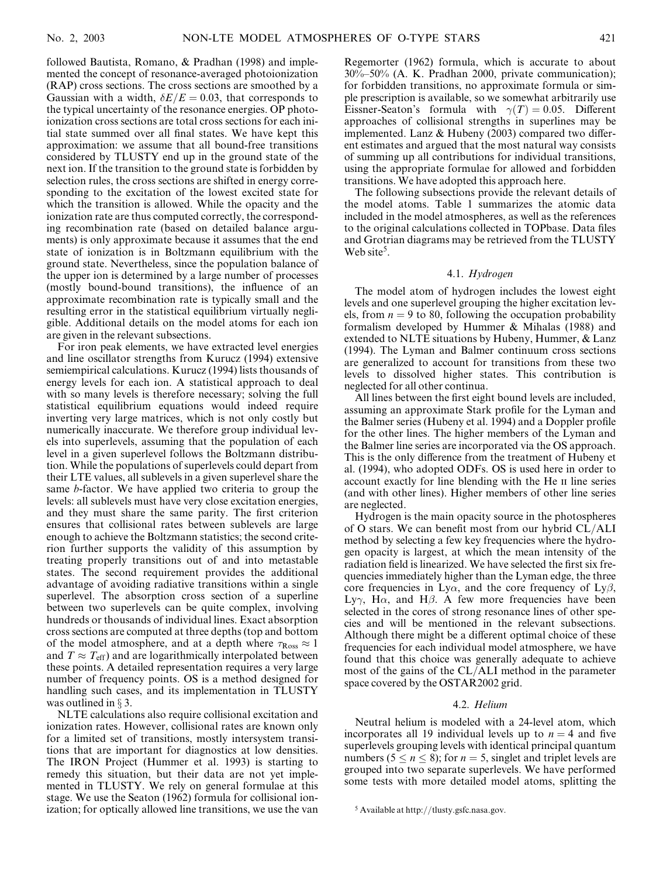followed Bautista, Romano, & Pradhan (1998) and implemented the concept of resonance-averaged photoionization (RAP) cross sections. The cross sections are smoothed by a Gaussian with a width,  $\delta E/E = 0.03$ , that corresponds to the typical uncertainty of the resonance energies. OP photoionization cross sections are total cross sections for each initial state summed over all final states. We have kept this approximation: we assume that all bound-free transitions considered by TLUSTY end up in the ground state of the next ion. If the transition to the ground state is forbidden by selection rules, the cross sections are shifted in energy corresponding to the excitation of the lowest excited state for which the transition is allowed. While the opacity and the ionization rate are thus computed correctly, the corresponding recombination rate (based on detailed balance arguments) is only approximate because it assumes that the end state of ionization is in Boltzmann equilibrium with the ground state. Nevertheless, since the population balance of the upper ion is determined by a large number of processes (mostly bound-bound transitions), the influence of an approximate recombination rate is typically small and the resulting error in the statistical equilibrium virtually negligible. Additional details on the model atoms for each ion are given in the relevant subsections.

For iron peak elements, we have extracted level energies and line oscillator strengths from Kurucz (1994) extensive semiempirical calculations. Kurucz (1994) lists thousands of energy levels for each ion. A statistical approach to deal with so many levels is therefore necessary; solving the full statistical equilibrium equations would indeed require inverting very large matrices, which is not only costly but numerically inaccurate. We therefore group individual levels into superlevels, assuming that the population of each level in a given superlevel follows the Boltzmann distribution. While the populations of superlevels could depart from their LTE values, all sublevels in a given superlevel share the same b-factor. We have applied two criteria to group the levels: all sublevels must have very close excitation energies, and they must share the same parity. The first criterion ensures that collisional rates between sublevels are large enough to achieve the Boltzmann statistics; the second criterion further supports the validity of this assumption by treating properly transitions out of and into metastable states. The second requirement provides the additional advantage of avoiding radiative transitions within a single superlevel. The absorption cross section of a superline between two superlevels can be quite complex, involving hundreds or thousands of individual lines. Exact absorption cross sections are computed at three depths (top and bottom of the model atmosphere, and at a depth where  $\tau_{\rm Ross} \approx 1$ and  $T \approx T_{\text{eff}}$ ) and are logarithmically interpolated between these points. A detailed representation requires a very large number of frequency points. OS is a method designed for handling such cases, and its implementation in TLUSTY was outlined in  $\S$  3.

NLTE calculations also require collisional excitation and ionization rates. However, collisional rates are known only for a limited set of transitions, mostly intersystem transitions that are important for diagnostics at low densities. The IRON Project (Hummer et al. 1993) is starting to remedy this situation, but their data are not yet implemented in TLUSTY. We rely on general formulae at this stage. We use the Seaton (1962) formula for collisional ionization; for optically allowed line transitions, we use the van

Regemorter (1962) formula, which is accurate to about 30%–50% (A. K. Pradhan 2000, private communication); for forbidden transitions, no approximate formula or simple prescription is available, so we somewhat arbitrarily use Eissner-Seaton's formula with  $\gamma(T) = 0.05$ . Different approaches of collisional strengths in superlines may be implemented. Lanz  $&$  Hubeny (2003) compared two different estimates and argued that the most natural way consists of summing up all contributions for individual transitions, using the appropriate formulae for allowed and forbidden transitions. We have adopted this approach here.

The following subsections provide the relevant details of the model atoms. Table 1 summarizes the atomic data included in the model atmospheres, as well as the references to the original calculations collected in TOPbase. Data files and Grotrian diagrams may be retrieved from the TLUSTY Web site<sup>5</sup>.

#### 4.1. Hydrogen

The model atom of hydrogen includes the lowest eight levels and one superlevel grouping the higher excitation levels, from  $n = 9$  to 80, following the occupation probability formalism developed by Hummer & Mihalas (1988) and extended to NLTE situations by Hubeny, Hummer, & Lanz (1994). The Lyman and Balmer continuum cross sections are generalized to account for transitions from these two levels to dissolved higher states. This contribution is neglected for all other continua.

All lines between the first eight bound levels are included, assuming an approximate Stark profile for the Lyman and the Balmer series (Hubeny et al. 1994) and a Doppler profile for the other lines. The higher members of the Lyman and the Balmer line series are incorporated via the OS approach. This is the only difference from the treatment of Hubeny et al. (1994), who adopted ODFs. OS is used here in order to account exactly for line blending with the He II line series (and with other lines). Higher members of other line series are neglected.

Hydrogen is the main opacity source in the photospheres of O stars. We can benefit most from our hybrid CL/ALI method by selecting a few key frequencies where the hydrogen opacity is largest, at which the mean intensity of the radiation field is linearized. We have selected the first six frequencies immediately higher than the Lyman edge, the three core frequencies in Ly $\alpha$ , and the core frequency of Ly $\beta$ , Ly $\gamma$ , H $\alpha$ , and H $\beta$ . A few more frequencies have been selected in the cores of strong resonance lines of other species and will be mentioned in the relevant subsections. Although there might be a different optimal choice of these frequencies for each individual model atmosphere, we have found that this choice was generally adequate to achieve most of the gains of the CL/ALI method in the parameter space covered by the OSTAR2002 grid.

### 4.2. Helium

Neutral helium is modeled with a 24-level atom, which incorporates all 19 individual levels up to  $n = 4$  and five superlevels grouping levels with identical principal quantum numbers ( $5 \le n \le 8$ ); for  $n = 5$ , singlet and triplet levels are grouped into two separate superlevels. We have performed some tests with more detailed model atoms, splitting the

<sup>5</sup> Available at http://tlusty.gsfc.nasa.gov.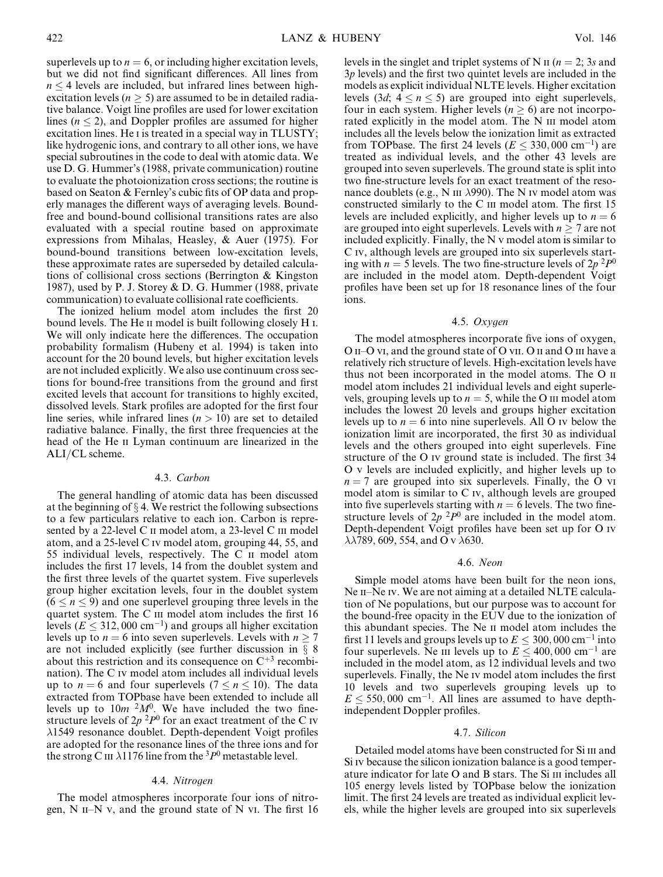superlevels up to  $n = 6$ , or including higher excitation levels, but we did not find significant differences. All lines from  $n \leq 4$  levels are included, but infrared lines between highexcitation levels ( $n \geq 5$ ) are assumed to be in detailed radiative balance. Voigt line profiles are used for lower excitation lines ( $n \leq 2$ ), and Doppler profiles are assumed for higher excitation lines. He *i* is treated in a special way in TLUSTY; like hydrogenic ions, and contrary to all other ions, we have special subroutines in the code to deal with atomic data. We use D. G. Hummer's (1988, private communication) routine to evaluate the photoionization cross sections; the routine is based on Seaton & Fernley's cubic fits of OP data and properly manages the different ways of averaging levels. Boundfree and bound-bound collisional transitions rates are also evaluated with a special routine based on approximate expressions from Mihalas, Heasley, & Auer (1975). For bound-bound transitions between low-excitation levels, these approximate rates are superseded by detailed calculations of collisional cross sections (Berrington & Kingston 1987), used by P. J. Storey & D. G. Hummer (1988, private communication) to evaluate collisional rate coefficients.

The ionized helium model atom includes the first 20 bound levels. The He ii model is built following closely H i. We will only indicate here the differences. The occupation probability formalism (Hubeny et al. 1994) is taken into account for the 20 bound levels, but higher excitation levels are not included explicitly. We also use continuum cross sections for bound-free transitions from the ground and first excited levels that account for transitions to highly excited, dissolved levels. Stark profiles are adopted for the first four line series, while infrared lines  $(n > 10)$  are set to detailed radiative balance. Finally, the first three frequencies at the head of the He II Lyman continuum are linearized in the ALI/CL scheme.

# 4.3. Carbon

The general handling of atomic data has been discussed at the beginning of  $\S 4$ . We restrict the following subsections to a few particulars relative to each ion. Carbon is represented by a 22-level C II model atom, a 23-level C III model atom, and a 25-level C iv model atom, grouping 44, 55, and 55 individual levels, respectively. The C ii model atom includes the first 17 levels, 14 from the doublet system and the first three levels of the quartet system. Five superlevels group higher excitation levels, four in the doublet system  $(6 < n < 9)$  and one superlevel grouping three levels in the quartet system. The C III model atom includes the first 16 levels ( $E \le 312,000 \text{ cm}^{-1}$ ) and groups all higher excitation levels up to  $n = 6$  into seven superlevels. Levels with  $n \ge 7$ are not included explicitly (see further discussion in  $\S$  8 about this restriction and its consequence on  $C^{+3}$  recombination). The C iv model atom includes all individual levels up to  $n = 6$  and four superlevels ( $7 \le n \le 10$ ). The data extracted from TOPbase have been extended to include all levels up to  $10m^{2}M^{0}$ . We have included the two finestructure levels of  $2p^{2}P^{0}$  for an exact treatment of the C iv 1549 resonance doublet. Depth-dependent Voigt profiles are adopted for the resonance lines of the three ions and for the strong C III  $\lambda$ 1176 line from the <sup>3</sup>P<sup>0</sup> metastable level.

### 4.4. Nitrogen

The model atmospheres incorporate four ions of nitrogen,  $N$  II–N v, and the ground state of N vI. The first 16 levels in the singlet and triplet systems of N  $\pi$  ( $n = 2$ ; 3s and  $3p$  levels) and the first two quintet levels are included in the models as explicit individual NLTE levels. Higher excitation levels  $(3d; 4 \le n \le 5)$  are grouped into eight superlevels, four in each system. Higher levels ( $n \geq 6$ ) are not incorporated explicitly in the model atom. The N III model atom includes all the levels below the ionization limit as extracted from TOPbase. The first 24 levels ( $E \le 330,000$  cm<sup>-1</sup>) are treated as individual levels, and the other 43 levels are grouped into seven superlevels. The ground state is split into two fine-structure levels for an exact treatment of the resonance doublets (e.g., N III  $\lambda$ 990). The N Iv model atom was constructed similarly to the C III model atom. The first 15 levels are included explicitly, and higher levels up to  $n = 6$ are grouped into eight superlevels. Levels with  $n \geq 7$  are not included explicitly. Finally, the N v model atom is similar to C iv, although levels are grouped into six superlevels starting with  $n = 5$  levels. The two fine-structure levels of  $2p^{2}P^{0}$ are included in the model atom. Depth-dependent Voigt profiles have been set up for 18 resonance lines of the four ions.

### 4.5. Oxygen

The model atmospheres incorporate five ions of oxygen, O II–O vI, and the ground state of O vII. O II and O III have a relatively rich structure of levels. High-excitation levels have thus not been incorporated in the model atoms. The O ii model atom includes 21 individual levels and eight superlevels, grouping levels up to  $n = 5$ , while the O iii model atom includes the lowest 20 levels and groups higher excitation levels up to  $n = 6$  into nine superlevels. All O iv below the ionization limit are incorporated, the first 30 as individual levels and the others grouped into eight superlevels. Fine structure of the O iv ground state is included. The first 34 O v levels are included explicitly, and higher levels up to  $n = 7$  are grouped into six superlevels. Finally, the O vi model atom is similar to C iv, although levels are grouped into five superlevels starting with  $n = 6$  levels. The two finestructure levels of  $2p^{2}P^{0}$  are included in the model atom. Depth-dependent Voigt profiles have been set up for O iv  $\lambda$  $\lambda$ 789, 609, 554, and O v  $\lambda$ 630.

#### 4.6. Neon

Simple model atoms have been built for the neon ions, Ne II–Ne Iv. We are not aiming at a detailed NLTE calculation of Ne populations, but our purpose was to account for the bound-free opacity in the EUV due to the ionization of this abundant species. The Ne ii model atom includes the first 11 levels and groups levels up to  $E \leq 300,000$  cm<sup>-1</sup> into four superlevels. Ne iii levels up to  $E \le 400,000$  cm<sup>-1</sup> are included in the model atom, as 12 individual levels and two superlevels. Finally, the Ne iv model atom includes the first 10 levels and two superlevels grouping levels up to  $E \le 550,000$  cm<sup>-1</sup>. All lines are assumed to have depthindependent Doppler profiles.

#### 4.7. Silicon

Detailed model atoms have been constructed for Si III and Si iv because the silicon ionization balance is a good temperature indicator for late O and B stars. The Si  $\text{III}$  includes all 105 energy levels listed by TOPbase below the ionization limit. The first 24 levels are treated as individual explicit levels, while the higher levels are grouped into six superlevels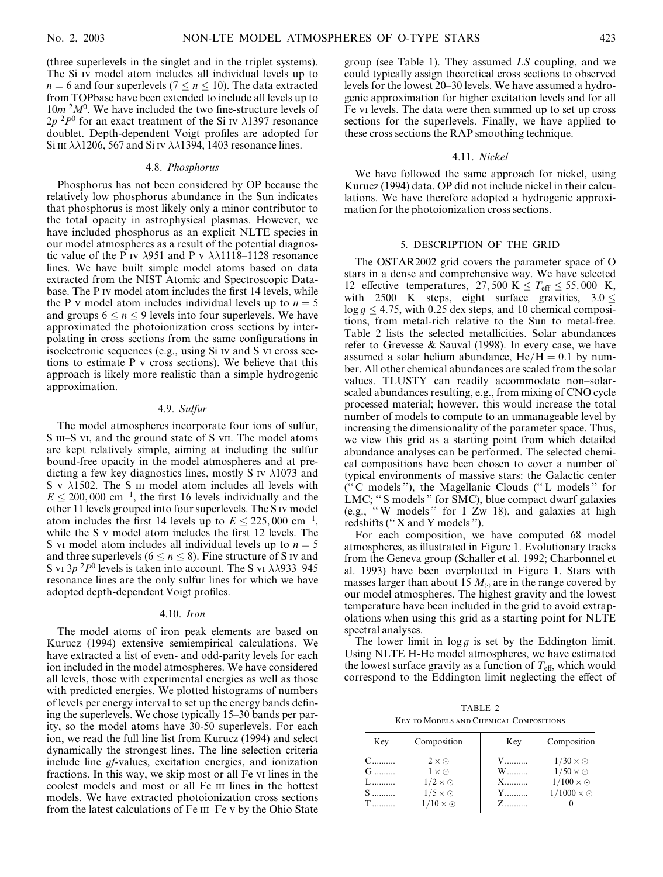(three superlevels in the singlet and in the triplet systems). The Si iv model atom includes all individual levels up to  $n = 6$  and four superlevels ( $7 \le n \le 10$ ). The data extracted from TOPbase have been extended to include all levels up to  $10m<sup>2</sup>M<sup>0</sup>$ . We have included the two fine-structure levels of  $2p^{2}P^{0}$  for an exact treatment of the Si IV  $\lambda$ 1397 resonance doublet. Depth-dependent Voigt profiles are adopted for Si III  $\lambda\lambda$ 1206, 567 and Si IV  $\lambda\lambda$ 1394, 1403 resonance lines.

### 4.8. Phosphorus

Phosphorus has not been considered by OP because the relatively low phosphorus abundance in the Sun indicates that phosphorus is most likely only a minor contributor to the total opacity in astrophysical plasmas. However, we have included phosphorus as an explicit NLTE species in our model atmospheres as a result of the potential diagnostic value of the P iv  $\lambda$ 951 and P v  $\lambda$  $\lambda$ 1118–1128 resonance lines. We have built simple model atoms based on data extracted from the NIST Atomic and Spectroscopic Database. The P iv model atom includes the first 14 levels, while the P v model atom includes individual levels up to  $n = 5$ and groups  $6 \le n \le 9$  levels into four superlevels. We have approximated the photoionization cross sections by interpolating in cross sections from the same configurations in isoelectronic sequences (e.g., using Si iv and S vi cross sections to estimate P v cross sections). We believe that this approach is likely more realistic than a simple hydrogenic approximation.

#### 4.9. Sulfur

The model atmospheres incorporate four ions of sulfur, S III–S vi, and the ground state of S vII. The model atoms are kept relatively simple, aiming at including the sulfur bound-free opacity in the model atmospheres and at predicting a few key diagnostics lines, mostly S iv  $\lambda$ 1073 and  $S \, v \, \lambda$ 1502. The S III model atom includes all levels with  $E \le 200,000$  cm<sup>-1</sup>, the first 16 levels individually and the other 11 levels grouped into four superlevels. The S iv model atom includes the first 14 levels up to  $E \le 225,000$  cm<sup>-1</sup>, while the S v model atom includes the first 12 levels. The S vi model atom includes all individual levels up to  $n = 5$ and three superlevels ( $6 \le n \le 8$ ). Fine structure of S iv and S vi  $3p^2P^0$  levels is taken into account. The S vi  $\lambda$  $\lambda$ 933–945 resonance lines are the only sulfur lines for which we have adopted depth-dependent Voigt profiles.

#### 4.10. Iron

The model atoms of iron peak elements are based on Kurucz (1994) extensive semiempirical calculations. We have extracted a list of even- and odd-parity levels for each ion included in the model atmospheres. We have considered all levels, those with experimental energies as well as those with predicted energies. We plotted histograms of numbers of levels per energy interval to set up the energy bands defining the superlevels. We chose typically 15–30 bands per parity, so the model atoms have 30-50 superlevels. For each ion, we read the full line list from Kurucz (1994) and select dynamically the strongest lines. The line selection criteria include line gf-values, excitation energies, and ionization fractions. In this way, we skip most or all Fe vi lines in the coolest models and most or all Fe III lines in the hottest models. We have extracted photoionization cross sections from the latest calculations of Fe III–Fe v by the Ohio State

group (see Table 1). They assumed LS coupling, and we could typically assign theoretical cross sections to observed levels for the lowest 20–30 levels. We have assumed a hydrogenic approximation for higher excitation levels and for all Fe vi levels. The data were then summed up to set up cross sections for the superlevels. Finally, we have applied to these cross sections the RAP smoothing technique.

#### 4.11. Nickel

We have followed the same approach for nickel, using Kurucz (1994) data. OP did not include nickel in their calculations. We have therefore adopted a hydrogenic approximation for the photoionization cross sections.

### 5. DESCRIPTION OF THE GRID

The OSTAR2002 grid covers the parameter space of O stars in a dense and comprehensive way. We have selected 12 effective temperatures, 27,500 K  $\leq T_{\text{eff}} \leq 55,000$  K, with 2500 K steps, eight surface gravities,  $3.0 \le$  $\log g \le 4.75$ , with 0.25 dex steps, and 10 chemical compositions, from metal-rich relative to the Sun to metal-free. Table 2 lists the selected metallicities. Solar abundances refer to Grevesse & Sauval (1998). In every case, we have assumed a solar helium abundance,  $He/H = 0.1$  by number. All other chemical abundances are scaled from the solar values. TLUSTY can readily accommodate non–solarscaled abundances resulting, e.g., from mixing of CNO cycle processed material; however, this would increase the total number of models to compute to an unmanageable level by increasing the dimensionality of the parameter space. Thus, we view this grid as a starting point from which detailed abundance analyses can be performed. The selected chemical compositions have been chosen to cover a number of typical environments of massive stars: the Galactic center ('' C models ''), the Magellanic Clouds ('' L models '' for LMC; '' S models '' for SMC), blue compact dwarf galaxies (e.g., '' W models '' for I Zw 18), and galaxies at high redshifts ("X and Y models").

For each composition, we have computed 68 model atmospheres, as illustrated in Figure 1. Evolutionary tracks from the Geneva group (Schaller et al. 1992; Charbonnel et al. 1993) have been overplotted in Figure 1. Stars with masses larger than about 15  $M_{\odot}$  are in the range covered by our model atmospheres. The highest gravity and the lowest temperature have been included in the grid to avoid extrapolations when using this grid as a starting point for NLTE spectral analyses.

The lower limit in  $\log g$  is set by the Eddington limit. Using NLTE H-He model atmospheres, we have estimated the lowest surface gravity as a function of  $T_{\text{eff}}$ , which would correspond to the Eddington limit neglecting the effect of

TABLE 2 Key to Models and Chemical Compositions

| Key                             | Composition                                                                                             | Key                     | Composition                                                                                 |
|---------------------------------|---------------------------------------------------------------------------------------------------------|-------------------------|---------------------------------------------------------------------------------------------|
| $C$<br>$G$<br>$L$<br>$S$<br>$T$ | $2 \times \odot$<br>$1 \times \odot$<br>$1/2 \times \odot$<br>$1/5 \times \odot$<br>$1/10 \times \odot$ | V<br>W<br>X<br>Y<br>$Z$ | $1/30 \times \odot$<br>$1/50 \times \odot$<br>$1/100 \times \odot$<br>$1/1000 \times \odot$ |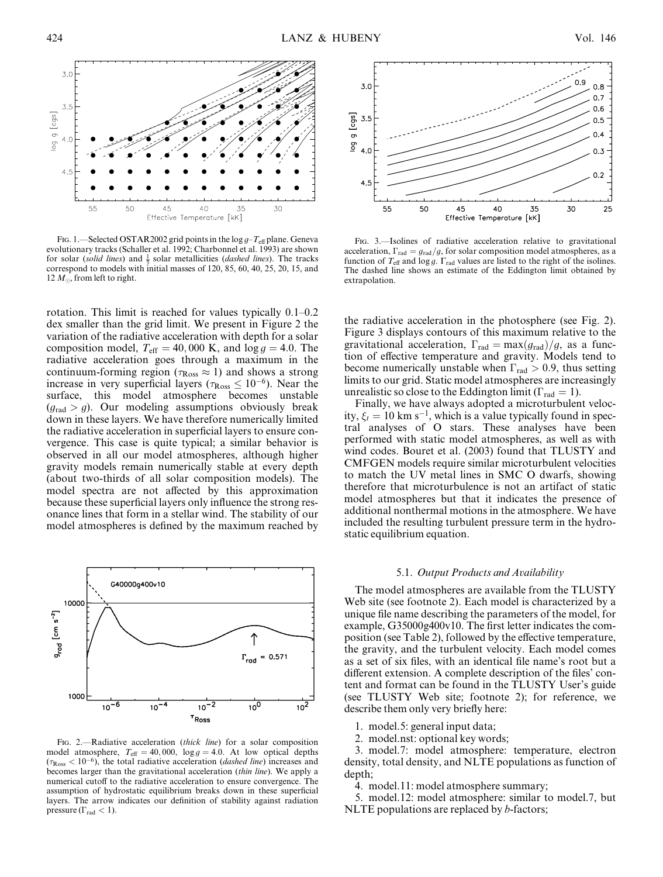

FIG. 1.—Selected OSTAR2002 grid points in the  $\log g - T_{\text{eff}}$  plane. Geneva evolutionary tracks (Schaller et al. 1992; Charbonnel et al. 1993) are shown for solar (solid lines) and  $\frac{1}{5}$  solar metallicities (*dashed lines*). The tracks correspond to models with initial masses of 120, 85, 60, 40, 25, 20, 15, and 12  $M_{\odot}$ , from left to right.

rotation. This limit is reached for values typically 0.1–0.2 dex smaller than the grid limit. We present in Figure 2 the variation of the radiative acceleration with depth for a solar composition model,  $T_{\text{eff}} = 40,000 \text{ K}$ , and  $\log g = 4.0$ . The radiative acceleration goes through a maximum in the continuum-forming region ( $\tau_{\rm Ross} \approx 1$ ) and shows a strong increase in very superficial layers ( $\tau_{\rm Ross} \leq 10^{-6}$ ). Near the surface, this model atmosphere becomes unstable  $(q_{\text{rad}} > g)$ . Our modeling assumptions obviously break down in these layers. We have therefore numerically limited the radiative acceleration in superficial layers to ensure convergence. This case is quite typical; a similar behavior is observed in all our model atmospheres, although higher gravity models remain numerically stable at every depth (about two-thirds of all solar composition models). The model spectra are not affected by this approximation because these superficial layers only influence the strong resonance lines that form in a stellar wind. The stability of our model atmospheres is defined by the maximum reached by



FIG. 2.—Radiative acceleration (thick line) for a solar composition model atmosphere,  $T_{\text{eff}} = 40,000$ ,  $\log g = 4.0$ . At low optical depths  $(\tau_{\rm Ross} < 10^{-6})$ , the total radiative acceleration (*dashed line*) increases and becomes larger than the gravitational acceleration (thin line). We apply a numerical cutoff to the radiative acceleration to ensure convergence. The assumption of hydrostatic equilibrium breaks down in these superficial layers. The arrow indicates our definition of stability against radiation pressure ( $\Gamma_{\rm rad}$  < 1).



Fig. 3.—Isolines of radiative acceleration relative to gravitational acceleration,  $\Gamma_{\text{rad}}=g_{\text{rad}}/g$ , for solar composition model atmospheres, as a function of  $T_{\text{eff}}$  and  $\log g$ .  $\Gamma_{\text{rad}}$  values are listed to the right of the isolines. The dashed line shows an estimate of the Eddington limit obtained by extrapolation.

the radiative acceleration in the photosphere (see Fig. 2). Figure 3 displays contours of this maximum relative to the gravitational acceleration,  $\Gamma_{rad} = \max(g_{rad})/g$ , as a function of effective temperature and gravity. Models tend to become numerically unstable when  $\Gamma_{\text{rad}} > 0.9$ , thus setting limits to our grid. Static model atmospheres are increasingly unrealistic so close to the Eddington limit ( $\Gamma_{\text{rad}} = 1$ ).

Finally, we have always adopted a microturbulent velocity,  $\xi_t = 10 \text{ km s}^{-1}$ , which is a value typically found in spectral analyses of O stars. These analyses have been performed with static model atmospheres, as well as with wind codes. Bouret et al. (2003) found that TLUSTY and CMFGEN models require similar microturbulent velocities to match the UV metal lines in SMC O dwarfs, showing therefore that microturbulence is not an artifact of static model atmospheres but that it indicates the presence of additional nonthermal motions in the atmosphere. We have included the resulting turbulent pressure term in the hydrostatic equilibrium equation.

# 5.1. Output Products and Availability

The model atmospheres are available from the TLUSTY Web site (see footnote 2). Each model is characterized by a unique file name describing the parameters of the model, for example, G35000g400v10. The first letter indicates the composition (see Table 2), followed by the effective temperature, the gravity, and the turbulent velocity. Each model comes as a set of six files, with an identical file name's root but a different extension. A complete description of the files' content and format can be found in the TLUSTY User's guide (see TLUSTY Web site; footnote 2); for reference, we describe them only very briefly here:

- 1. model.5: general input data;
- 2. model.nst: optional key words;

3. model.7: model atmosphere: temperature, electron density, total density, and NLTE populations as function of depth;

4. model.11: model atmosphere summary;

5. model.12: model atmosphere: similar to model.7, but NLTE populations are replaced by  $b$ -factors;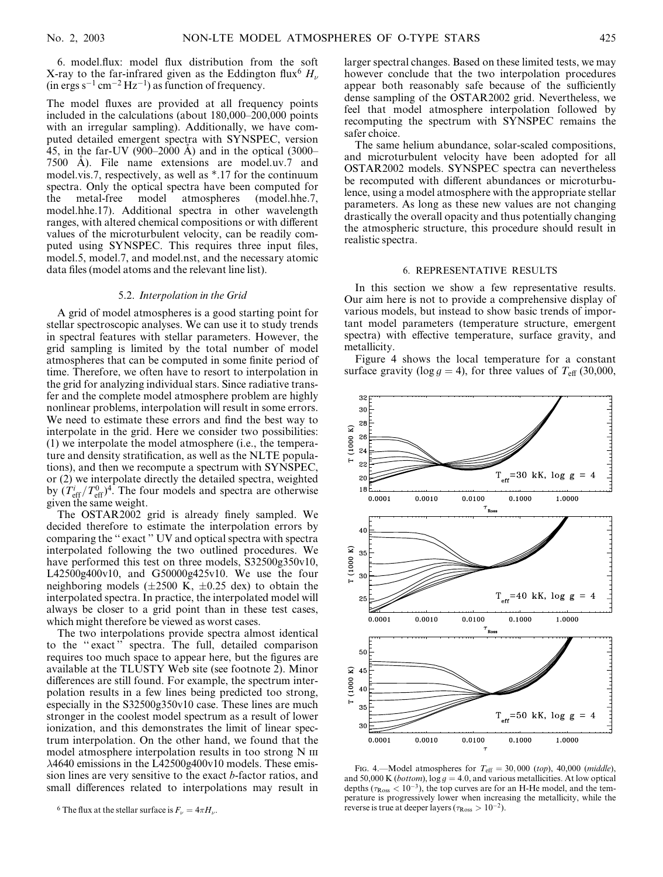6. model.flux: model flux distribution from the soft X-ray to the far-infrared given as the Eddington flux<sup>6</sup>  $H_{\nu}$  $(in ergs s<sup>-1</sup> cm<sup>-2</sup> Hz<sup>-1</sup>)$  as function of frequency.

The model fluxes are provided at all frequency points included in the calculations (about 180,000–200,000 points with an irregular sampling). Additionally, we have computed detailed emergent spectra with SYNSPEC, version 45, in the far-UV (900–2000 A) and in the optical (3000– 7500 A). File name extensions are model.uv.7 and model.vis.7, respectively, as well as \*.17 for the continuum spectra. Only the optical spectra have been computed for the metal-free model atmospheres (model.hhe.7, model.hhe.17). Additional spectra in other wavelength ranges, with altered chemical compositions or with different values of the microturbulent velocity, can be readily computed using SYNSPEC. This requires three input files, model.5, model.7, and model.nst, and the necessary atomic data files (model atoms and the relevant line list).

#### 5.2. Interpolation in the Grid

A grid of model atmospheres is a good starting point for stellar spectroscopic analyses. We can use it to study trends in spectral features with stellar parameters. However, the grid sampling is limited by the total number of model atmospheres that can be computed in some finite period of time. Therefore, we often have to resort to interpolation in the grid for analyzing individual stars. Since radiative transfer and the complete model atmosphere problem are highly nonlinear problems, interpolation will result in some errors. We need to estimate these errors and find the best way to interpolate in the grid. Here we consider two possibilities: (1) we interpolate the model atmosphere (i.e., the temperature and density stratification, as well as the NLTE populations), and then we recompute a spectrum with SYNSPEC, or (2) we interpolate directly the detailed spectra, weighted by  $(T_{\text{eff}}^i/T_{\text{eff}}^0)^4$ . The four models and spectra are otherwise given the same weight.

The OSTAR2002 grid is already finely sampled. We decided therefore to estimate the interpolation errors by comparing the '' exact '' UV and optical spectra with spectra interpolated following the two outlined procedures. We have performed this test on three models, S32500g350v10, L42500g400v10, and G50000g425v10. We use the four neighboring models ( $\pm 2500$  K,  $\pm 0.25$  dex) to obtain the interpolated spectra. In practice, the interpolated model will always be closer to a grid point than in these test cases, which might therefore be viewed as worst cases.

The two interpolations provide spectra almost identical to the '' exact '' spectra. The full, detailed comparison requires too much space to appear here, but the figures are available at the TLUSTY Web site (see footnote 2). Minor differences are still found. For example, the spectrum interpolation results in a few lines being predicted too strong, especially in the S32500g350v10 case. These lines are much stronger in the coolest model spectrum as a result of lower ionization, and this demonstrates the limit of linear spectrum interpolation. On the other hand, we found that the model atmosphere interpolation results in too strong N III 4640 emissions in the L42500g400v10 models. These emission lines are very sensitive to the exact b-factor ratios, and small differences related to interpolations may result in larger spectral changes. Based on these limited tests, we may however conclude that the two interpolation procedures appear both reasonably safe because of the sufficiently dense sampling of the OSTAR2002 grid. Nevertheless, we feel that model atmosphere interpolation followed by recomputing the spectrum with SYNSPEC remains the safer choice.

The same helium abundance, solar-scaled compositions, and microturbulent velocity have been adopted for all OSTAR2002 models. SYNSPEC spectra can nevertheless be recomputed with different abundances or microturbulence, using a model atmosphere with the appropriate stellar parameters. As long as these new values are not changing drastically the overall opacity and thus potentially changing the atmospheric structure, this procedure should result in realistic spectra.

### 6. REPRESENTATIVE RESULTS

In this section we show a few representative results. Our aim here is not to provide a comprehensive display of various models, but instead to show basic trends of important model parameters (temperature structure, emergent spectra) with effective temperature, surface gravity, and metallicity.

Figure 4 shows the local temperature for a constant surface gravity (log  $g = 4$ ), for three values of  $T_{\text{eff}}$  (30,000,



FIG. 4.—Model atmospheres for  $T_{\text{eff}} = 30,000$  (top), 40,000 (middle), and 50,000 K (*bottom*),  $\log g = 4.0$ , and various metallicities. At low optical depths ( $\tau_{\rm Ross}$  < 10<sup>-3</sup>), the top curves are for an H-He model, and the temperature is progressively lower when increasing the metallicity, while the reverse is true at deeper layers ( $\tau_{\rm Ross} > 10^{-2}$ ).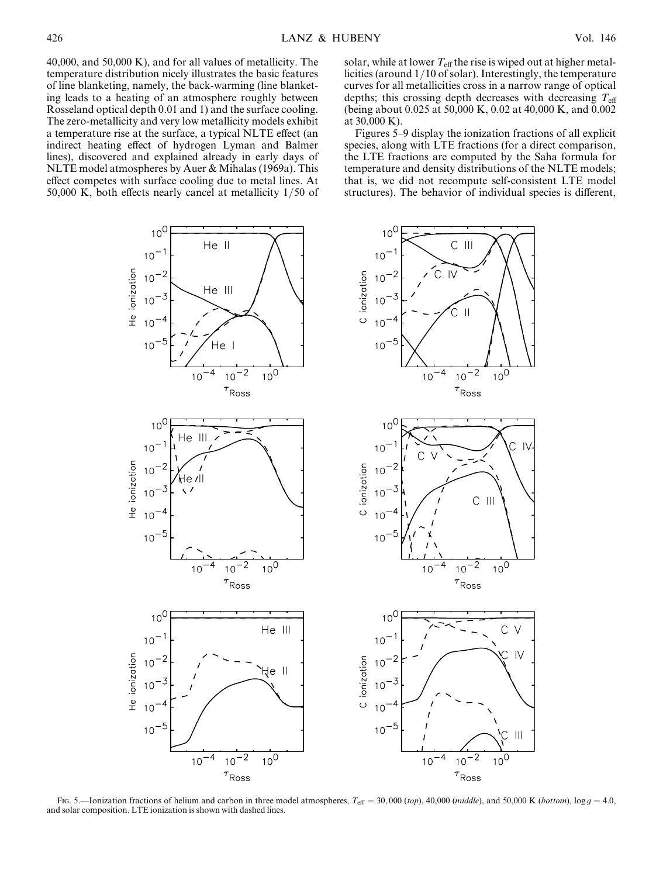40,000, and 50,000 K), and for all values of metallicity. The temperature distribution nicely illustrates the basic features of line blanketing, namely, the back-warming (line blanketing leads to a heating of an atmosphere roughly between Rosseland optical depth 0.01 and 1) and the surface cooling. The zero-metallicity and very low metallicity models exhibit a temperature rise at the surface, a typical NLTE effect (an indirect heating effect of hydrogen Lyman and Balmer lines), discovered and explained already in early days of NLTE model atmospheres by Auer & Mihalas (1969a). This effect competes with surface cooling due to metal lines. At 50,000 K, both effects nearly cancel at metallicity 1/50 of solar, while at lower  $T_{\text{eff}}$  the rise is wiped out at higher metallicities (around 1/10 of solar). Interestingly, the temperature curves for all metallicities cross in a narrow range of optical depths; this crossing depth decreases with decreasing  $T_{\text{eff}}$ (being about 0.025 at 50,000 K, 0.02 at 40,000 K, and 0.002 at 30,000 K).

Figures 5–9 display the ionization fractions of all explicit species, along with LTE fractions (for a direct comparison, the LTE fractions are computed by the Saha formula for temperature and density distributions of the NLTE models; that is, we did not recompute self-consistent LTE model structures). The behavior of individual species is different,



Fig. 5.—Ionization fractions of helium and carbon in three model atmospheres,  $T_{\text{eff}} = 30,000$  (top), 40,000 (middle), and 50,000 K (bottom), log g = 4.0, and solar composition. LTE ionization is shown with dashed lines.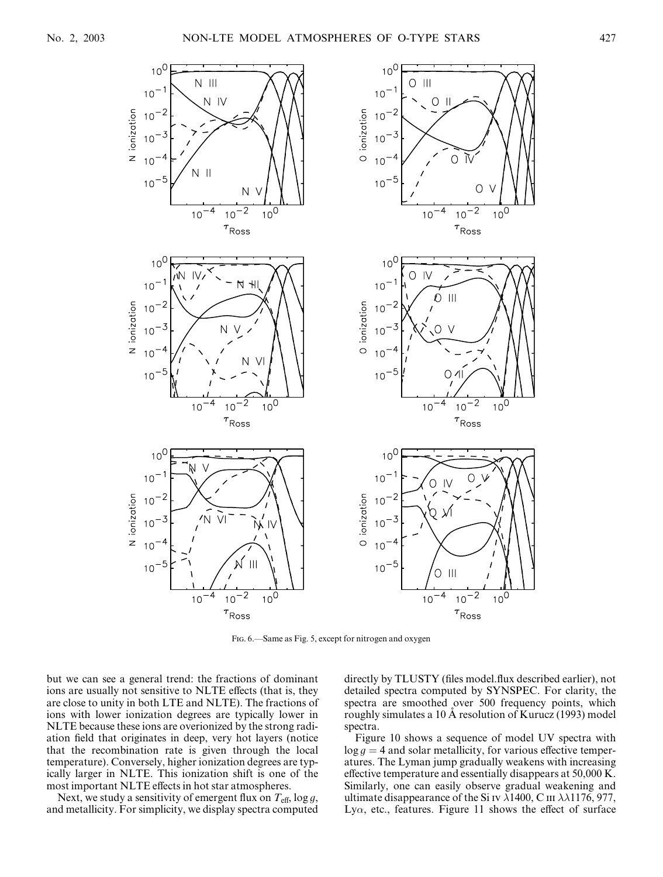

Fig. 6.—Same as Fig. 5, except for nitrogen and oxygen

but we can see a general trend: the fractions of dominant ions are usually not sensitive to NLTE effects (that is, they are close to unity in both LTE and NLTE). The fractions of ions with lower ionization degrees are typically lower in NLTE because these ions are overionized by the strong radiation field that originates in deep, very hot layers (notice that the recombination rate is given through the local temperature). Conversely, higher ionization degrees are typically larger in NLTE. This ionization shift is one of the most important NLTE effects in hot star atmospheres.

Next, we study a sensitivity of emergent flux on  $T_{\text{eff}}$ , log g, and metallicity. For simplicity, we display spectra computed directly by TLUSTY (files model.flux described earlier), not detailed spectra computed by SYNSPEC. For clarity, the spectra are smoothed over 500 frequency points, which roughly simulates a 10 Å resolution of Kurucz (1993) model spectra.

Figure 10 shows a sequence of model UV spectra with  $\log g = 4$  and solar metallicity, for various effective temperatures. The Lyman jump gradually weakens with increasing effective temperature and essentially disappears at 50,000 K. Similarly, one can easily observe gradual weakening and ultimate disappearance of the Si IV  $\lambda$ 1400, C III  $\lambda\lambda$ 1176, 977, Ly $\alpha$ , etc., features. Figure 11 shows the effect of surface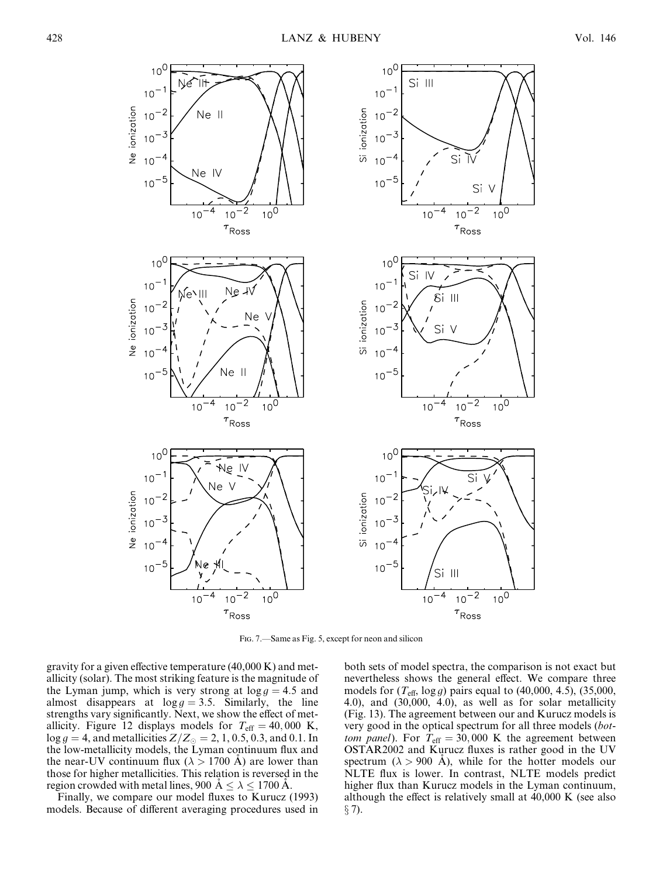

Fig. 7.—Same as Fig. 5, except for neon and silicon

gravity for a given effective temperature (40,000 K) and metallicity (solar). The most striking feature is the magnitude of the Lyman jump, which is very strong at  $\log g = 4.5$  and almost disappears at  $\log g = 3.5$ . Similarly, the line strengths vary significantly. Next, we show the effect of metallicity. Figure 12 displays models for  $T_{\text{eff}} = 40,000 \text{ K}$ ,  $\log g = 4$ , and metallicities  $Z/Z_{\odot} = 2, 1, 0.5, 0.3,$  and 0.1. In the low-metallicity models, the Lyman continuum flux and the near-UV continuum flux ( $\lambda > 1700$  A) are lower than those for higher metallicities. This relation is reversed in the region crowded with metal lines, 900 A  $\leq \lambda \leq 1700$  A.

Finally, we compare our model fluxes to Kurucz (1993) models. Because of different averaging procedures used in both sets of model spectra, the comparison is not exact but nevertheless shows the general effect. We compare three models for  $(T_{\text{eff}}$ , log g) pairs equal to (40,000, 4.5), (35,000, 4.0), and (30,000, 4.0), as well as for solar metallicity (Fig. 13). The agreement between our and Kurucz models is very good in the optical spectrum for all three models (bottom panel). For  $T_{\text{eff}} = 30,000$  K the agreement between OSTAR2002 and Kurucz fluxes is rather good in the UV spectrum ( $\lambda > 900$  Å), while for the hotter models our NLTE flux is lower. In contrast, NLTE models predict higher flux than Kurucz models in the Lyman continuum, although the effect is relatively small at 40,000 K (see also  $\S$  7).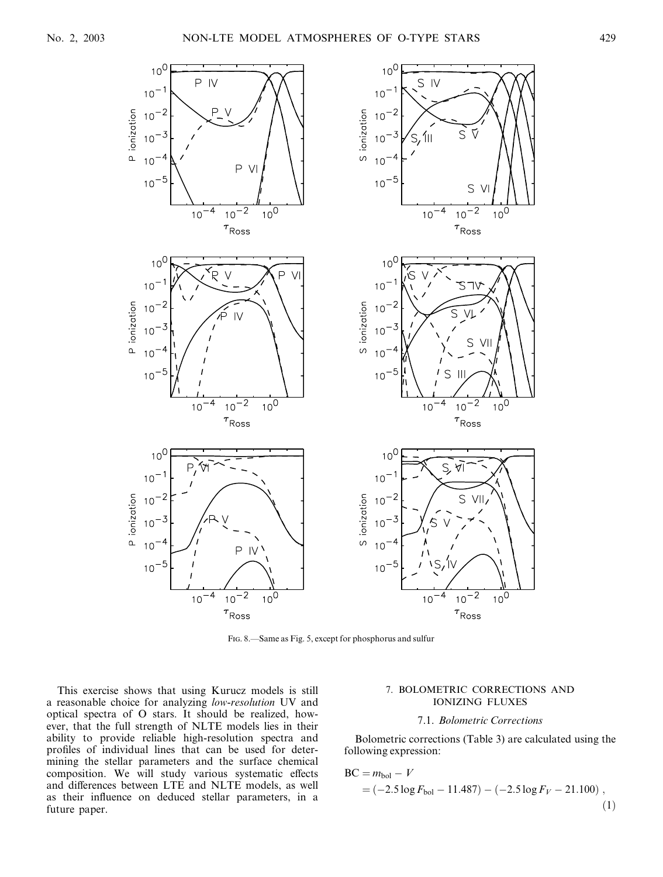

Fig. 8.—Same as Fig. 5, except for phosphorus and sulfur

This exercise shows that using Kurucz models is still a reasonable choice for analyzing low-resolution UV and optical spectra of O stars. It should be realized, however, that the full strength of NLTE models lies in their ability to provide reliable high-resolution spectra and profiles of individual lines that can be used for determining the stellar parameters and the surface chemical composition. We will study various systematic effects and differences between LTE and NLTE models, as well as their influence on deduced stellar parameters, in a future paper.

### 7. BOLOMETRIC CORRECTIONS AND IONIZING FLUXES

# 7.1. Bolometric Corrections

Bolometric corrections (Table 3) are calculated using the following expression:

$$
BC = m_{bol} - V
$$
  
= (-2.5 log F<sub>bol</sub> - 11.487) - (-2.5 log F<sub>V</sub> - 21.100), (1)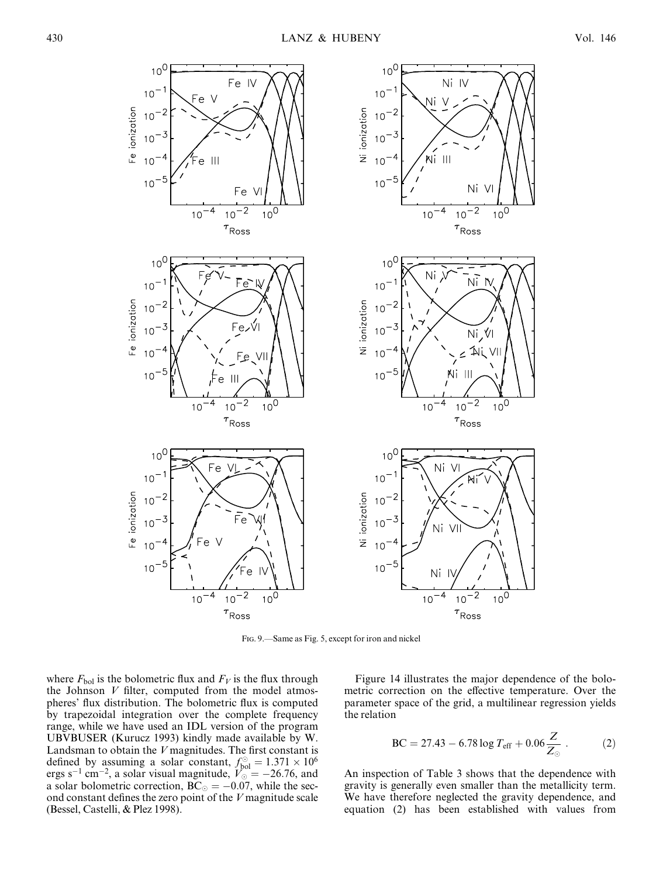

Fig. 9.—Same as Fig. 5, except for iron and nickel

where  $F_{\text{bol}}$  is the bolometric flux and  $F_V$  is the flux through the Johnson  $V$  filter, computed from the model atmospheres' flux distribution. The bolometric flux is computed by trapezoidal integration over the complete frequency range, while we have used an IDL version of the program UBVBUSER (Kurucz 1993) kindly made available by W. Landsman to obtain the  $V$  magnitudes. The first constant is defined by assuming a solar constant,  $f_{bol}^{\odot} = 1.371 \times 10^6$ ergs s<sup>-1</sup> cm<sup>-2</sup>, a solar visual magnitude,  $V_0 = -26.76$ , and a solar bolometric correction,  $BC_{\odot} = -0.07$ , while the second constant defines the zero point of the V magnitude scale (Bessel, Castelli, & Plez 1998).

Figure 14 illustrates the major dependence of the bolometric correction on the effective temperature. Over the parameter space of the grid, a multilinear regression yields the relation

$$
BC = 27.43 - 6.78 \log T_{\text{eff}} + 0.06 \frac{Z}{Z_{\odot}} \,. \tag{2}
$$

An inspection of Table 3 shows that the dependence with gravity is generally even smaller than the metallicity term. We have therefore neglected the gravity dependence, and equation (2) has been established with values from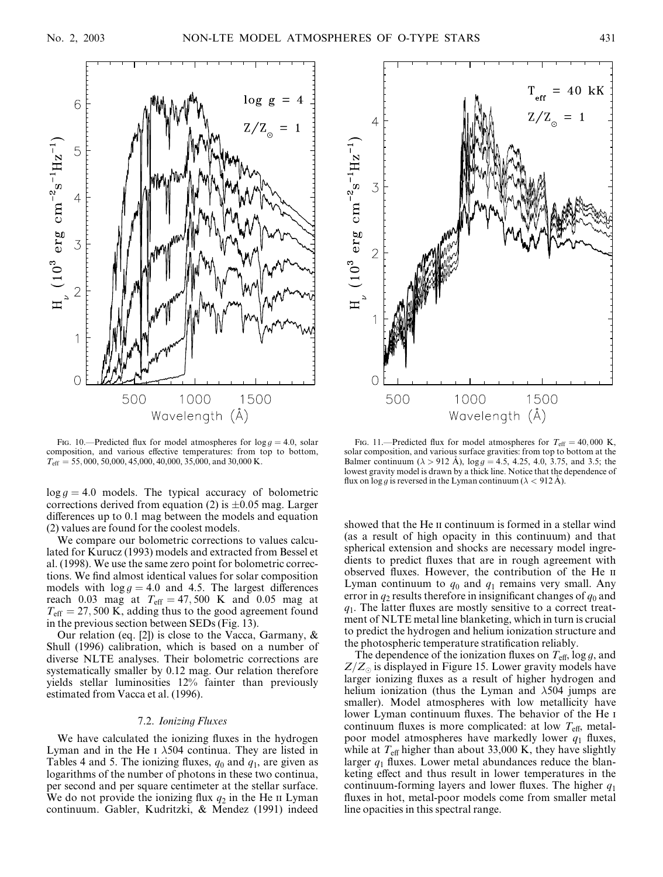

FIG. 10.—Predicted flux for model atmospheres for  $\log q = 4.0$ , solar composition, and various effective temperatures: from top to bottom,  $T_{\text{eff}} = 55,000,50,000,45,000,40,000,35,000,$  and 30,000 K.

 $\log g = 4.0$  models. The typical accuracy of bolometric corrections derived from equation (2) is  $\pm 0.05$  mag. Larger differences up to 0.1 mag between the models and equation (2) values are found for the coolest models.

We compare our bolometric corrections to values calculated for Kurucz (1993) models and extracted from Bessel et al. (1998). We use the same zero point for bolometric corrections. We find almost identical values for solar composition models with  $\log g = 4.0$  and 4.5. The largest differences reach 0.03 mag at  $T_{\text{eff}} = 47,500$  K and 0.05 mag at  $T_{\text{eff}} = 27,500$  K, adding thus to the good agreement found in the previous section between SEDs (Fig. 13).

Our relation (eq. [2]) is close to the Vacca, Garmany, & Shull (1996) calibration, which is based on a number of diverse NLTE analyses. Their bolometric corrections are systematically smaller by 0.12 mag. Our relation therefore yields stellar luminosities 12% fainter than previously estimated from Vacca et al. (1996).

### 7.2. Ionizing Fluxes

We have calculated the ionizing fluxes in the hydrogen Lyman and in the He I  $\lambda$ 504 continua. They are listed in Tables 4 and 5. The ionizing fluxes,  $q_0$  and  $q_1$ , are given as logarithms of the number of photons in these two continua, per second and per square centimeter at the stellar surface. We do not provide the ionizing flux  $q_2$  in the He ii Lyman continuum. Gabler, Kudritzki, & Mendez (1991) indeed



FIG. 11.—Predicted flux for model atmospheres for  $T_{\text{eff}} = 40,000 \text{ K}$ , solar composition, and various surface gravities: from top to bottom at the Balmer continuum ( $\lambda > 912$  Å),  $\log g = 4.5$ , 4.25, 4.0, 3.75, and 3.5; the lowest gravity model is drawn by a thick line. Notice that the dependence of flux on log g is reversed in the Lyman continuum ( $\lambda$  < 912 Å).

showed that the He II continuum is formed in a stellar wind (as a result of high opacity in this continuum) and that spherical extension and shocks are necessary model ingredients to predict fluxes that are in rough agreement with observed fluxes. However, the contribution of the He ii Lyman continuum to  $q_0$  and  $q_1$  remains very small. Any error in  $q_2$  results therefore in insignificant changes of  $q_0$  and  $q_1$ . The latter fluxes are mostly sensitive to a correct treatment of NLTE metal line blanketing, which in turn is crucial to predict the hydrogen and helium ionization structure and the photospheric temperature stratification reliably.

The dependence of the ionization fluxes on  $T_{\text{eff}}$ , log g, and  $Z/Z_{\odot}$  is displayed in Figure 15. Lower gravity models have larger ionizing fluxes as a result of higher hydrogen and helium ionization (thus the Lyman and  $\lambda$ 504 jumps are smaller). Model atmospheres with low metallicity have lower Lyman continuum fluxes. The behavior of the He i continuum fluxes is more complicated: at low  $T_{\text{eff}}$ , metalpoor model atmospheres have markedly lower  $q_1$  fluxes, while at  $T_{\text{eff}}$  higher than about 33,000 K, they have slightly larger  $q_1$  fluxes. Lower metal abundances reduce the blanketing effect and thus result in lower temperatures in the continuum-forming layers and lower fluxes. The higher  $q_1$ fluxes in hot, metal-poor models come from smaller metal line opacities in this spectral range.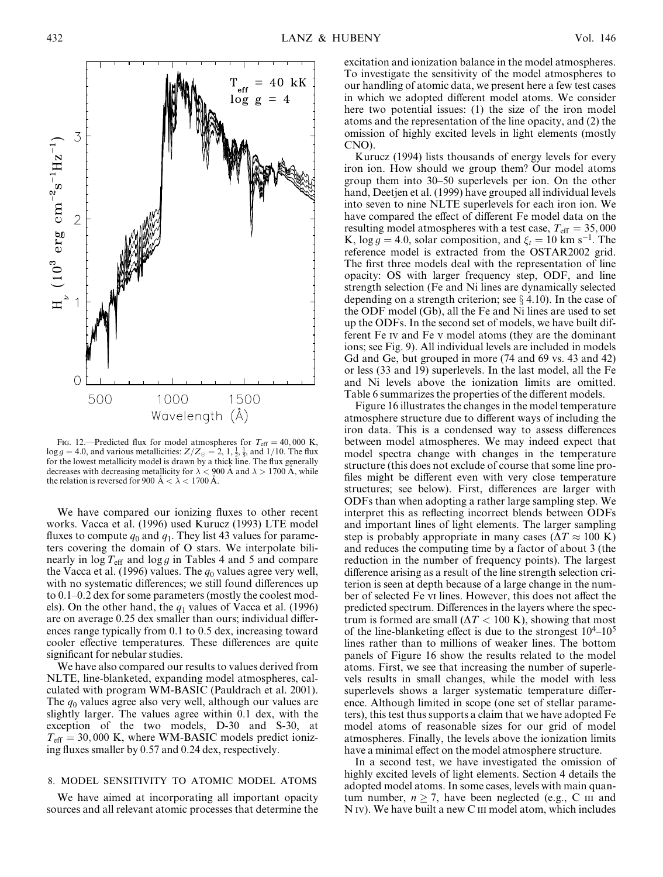

FIG. 12.—Predicted flux for model atmospheres for  $T_{\text{eff}} = 40,000 \text{ K}$ ,  $\log g = 4.0$ , and various metallicities:  $Z/Z_{\odot} = 2, 1, \frac{1}{2}, \frac{1}{5}$ , and 1/10. The flux for the lowest metallicity model is drawn by a thick line. The flux generally decreases with decreasing metallicity for  $\lambda < 900$  Å and  $\lambda > 1700$  Å, while the relation is reversed for 900  $\AA < \lambda < 1700 \AA$ .

We have compared our ionizing fluxes to other recent works. Vacca et al. (1996) used Kurucz (1993) LTE model fluxes to compute  $q_0$  and  $q_1$ . They list 43 values for parameters covering the domain of O stars. We interpolate bilinearly in  $\log T_{\text{eff}}$  and  $\log g$  in Tables 4 and 5 and compare the Vacca et al. (1996) values. The  $q_0$  values agree very well, with no systematic differences; we still found differences up to 0.1–0.2 dex for some parameters (mostly the coolest models). On the other hand, the  $q_1$  values of Vacca et al. (1996) are on average 0.25 dex smaller than ours; individual differences range typically from 0.1 to 0.5 dex, increasing toward cooler effective temperatures. These differences are quite significant for nebular studies.

We have also compared our results to values derived from NLTE, line-blanketed, expanding model atmospheres, calculated with program WM-BASIC (Pauldrach et al. 2001). The  $q_0$  values agree also very well, although our values are slightly larger. The values agree within 0.1 dex, with the exception of the two models, D-30 and S-30, at  $T_{\text{eff}}$  = 30,000 K, where WM-BASIC models predict ionizing fluxes smaller by 0.57 and 0.24 dex, respectively.

# 8. MODEL SENSITIVITY TO ATOMIC MODEL ATOMS

We have aimed at incorporating all important opacity sources and all relevant atomic processes that determine the

excitation and ionization balance in the model atmospheres. To investigate the sensitivity of the model atmospheres to our handling of atomic data, we present here a few test cases in which we adopted different model atoms. We consider here two potential issues: (1) the size of the iron model atoms and the representation of the line opacity, and (2) the omission of highly excited levels in light elements (mostly CNO).

Kurucz (1994) lists thousands of energy levels for every iron ion. How should we group them? Our model atoms group them into 30–50 superlevels per ion. On the other hand, Deetjen et al. (1999) have grouped all individual levels into seven to nine NLTE superlevels for each iron ion. We have compared the effect of different Fe model data on the resulting model atmospheres with a test case,  $T_{\text{eff}} = 35,000$ K,  $\log g = 4.0$ , solar composition, and  $\xi_t = 10$  km s<sup>-1</sup>. The reference model is extracted from the OSTAR2002 grid. The first three models deal with the representation of line opacity: OS with larger frequency step, ODF, and line strength selection (Fe and Ni lines are dynamically selected depending on a strength criterion; see  $\S$  4.10). In the case of the ODF model (Gb), all the Fe and Ni lines are used to set up the ODFs. In the second set of models, we have built different Fe iv and Fe v model atoms (they are the dominant ions; see Fig. 9). All individual levels are included in models Gd and Ge, but grouped in more (74 and 69 vs. 43 and 42) or less (33 and 19) superlevels. In the last model, all the Fe and Ni levels above the ionization limits are omitted. Table 6 summarizes the properties of the different models.

Figure 16 illustrates the changes in the model temperature atmosphere structure due to different ways of including the iron data. This is a condensed way to assess differences between model atmospheres. We may indeed expect that model spectra change with changes in the temperature structure (this does not exclude of course that some line profiles might be different even with very close temperature structures; see below). First, differences are larger with ODFs than when adopting a rather large sampling step. We interpret this as reflecting incorrect blends between ODFs and important lines of light elements. The larger sampling step is probably appropriate in many cases ( $\Delta T \approx 100 \text{ K}$ ) and reduces the computing time by a factor of about 3 (the reduction in the number of frequency points). The largest difference arising as a result of the line strength selection criterion is seen at depth because of a large change in the number of selected Fe vi lines. However, this does not affect the predicted spectrum. Differences in the layers where the spectrum is formed are small ( $\Delta T < 100$  K), showing that most of the line-blanketing effect is due to the strongest  $10^{4}$ – $10^{5}$ lines rather than to millions of weaker lines. The bottom panels of Figure 16 show the results related to the model atoms. First, we see that increasing the number of superlevels results in small changes, while the model with less superlevels shows a larger systematic temperature difference. Although limited in scope (one set of stellar parameters), this test thus supports a claim that we have adopted Fe model atoms of reasonable sizes for our grid of model atmospheres. Finally, the levels above the ionization limits have a minimal effect on the model atmosphere structure.

In a second test, we have investigated the omission of highly excited levels of light elements. Section 4 details the adopted model atoms. In some cases, levels with main quantum number,  $n > 7$ , have been neglected (e.g., C III and N IV). We have built a new C III model atom, which includes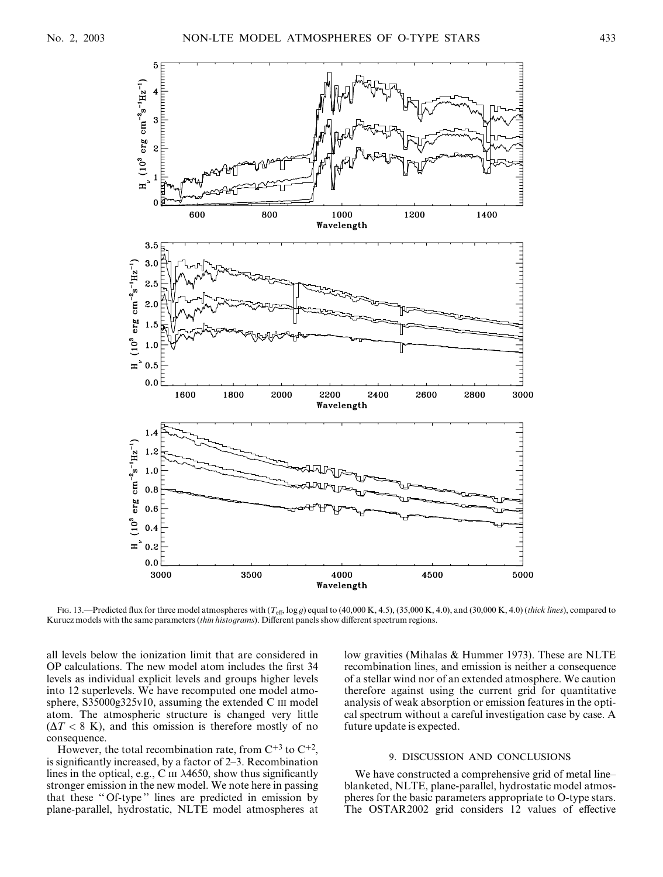

Fig. 13.—Predicted flux for three model atmospheres with  $(T_{\text{eff}}$ , log g) equal to (40,000 K, 4.5), (35,000 K, 4.0), and (30,000 K, 4.0) (thick lines), compared to Kurucz models with the same parameters (thin histograms). Different panels show different spectrum regions.

all levels below the ionization limit that are considered in OP calculations. The new model atom includes the first 34 levels as individual explicit levels and groups higher levels into 12 superlevels. We have recomputed one model atmosphere, S35000g325v10, assuming the extended C  $\text{II}$  model atom. The atmospheric structure is changed very little  $(\Delta T < 8 \text{ K})$ , and this omission is therefore mostly of no consequence.

However, the total recombination rate, from  $C^{+3}$  to  $C^{+2}$ , is significantly increased, by a factor of 2–3. Recombination lines in the optical, e.g., C  $\text{III}$   $\lambda$ 4650, show thus significantly stronger emission in the new model. We note here in passing that these '' Of-type '' lines are predicted in emission by plane-parallel, hydrostatic, NLTE model atmospheres at

low gravities (Mihalas & Hummer 1973). These are NLTE recombination lines, and emission is neither a consequence of a stellar wind nor of an extended atmosphere. We caution therefore against using the current grid for quantitative analysis of weak absorption or emission features in the optical spectrum without a careful investigation case by case. A future update is expected.

#### 9. DISCUSSION AND CONCLUSIONS

We have constructed a comprehensive grid of metal line– blanketed, NLTE, plane-parallel, hydrostatic model atmospheres for the basic parameters appropriate to O-type stars. The OSTAR2002 grid considers 12 values of effective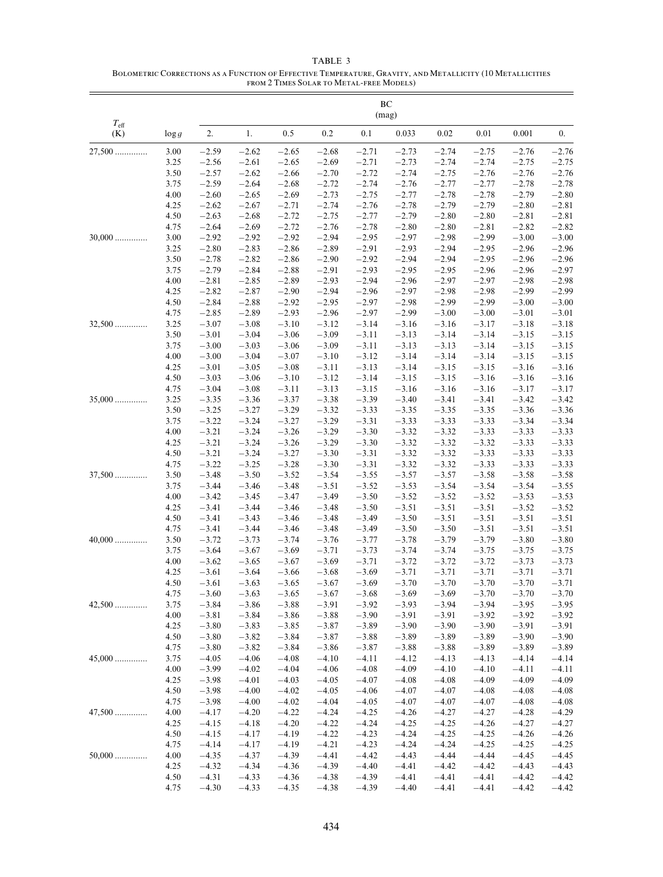|                      | BC<br>(mag)  |                    |                    |                    |                    |                    |                    |                    |                    |                    |                    |  |
|----------------------|--------------|--------------------|--------------------|--------------------|--------------------|--------------------|--------------------|--------------------|--------------------|--------------------|--------------------|--|
| $T_{\rm eff}$<br>(K) | $\log g$     | 2.                 | 1.                 | 0.5                | 0.2                | 0.1                | 0.033              | 0.02               | 0.01               | 0.001              | $\overline{0}$ .   |  |
| $27,500$             | 3.00         | $-2.59$            | $-2.62$            | $-2.65$            | $-2.68$            | $-2.71$            | $-2.73$            | $-2.74$            | $-2.75$            | $-2.76$            | $-2.76$            |  |
|                      | 3.25         | $-2.56$            | $-2.61$            | $-2.65$            | $-2.69$            | $-2.71$            | $-2.73$            | $-2.74$            | $-2.74$            | $-2.75$            | $-2.75$            |  |
|                      | 3.50         | $-2.57$            | $-2.62$            | $-2.66$            | $-2.70$            | $-2.72$            | $-2.74$            | $-2.75$            | $-2.76$            | $-2.76$            | $-2.76$            |  |
|                      | 3.75         | $-2.59$            | $-2.64$            | $-2.68$            | $-2.72$            | $-2.74$            | $-2.76$            | $-2.77$            | $-2.77$            | $-2.78$            | $-2.78$            |  |
|                      | 4.00         | $-2.60$            | $-2.65$            | $-2.69$            | $-2.73$            | $-2.75$            | $-2.77$            | $-2.78$            | $-2.78$            | $-2.79$            | $-2.80$            |  |
|                      | 4.25         | $-2.62$            | $-2.67$            | $-2.71$            | $-2.74$            | $-2.76$            | $-2.78$            | $-2.79$            | $-2.79$            | $-2.80$            | $-2.81$            |  |
|                      | 4.50         | $-2.63$            | $-2.68$            | $-2.72$            | $-2.75$            | $-2.77$            | $-2.79$            | $-2.80$            | $-2.80$            | $-2.81$            | $-2.81$            |  |
|                      | 4.75         | $-2.64$            | $-2.69$            | $-2.72$            | $-2.76$            | $-2.78$            | $-2.80$            | $-2.80$            | $-2.81$            | $-2.82$            | $-2.82$            |  |
| $30,000$             | 3.00         | $-2.92$            | $-2.92$            | $-2.92$            | $-2.94$            | $-2.95$            | $-2.97$            | $-2.98$            | $-2.99$            | $-3.00$            | $-3.00$            |  |
|                      | 3.25         | $-2.80$            | $-2.83$            | $-2.86$            | $-2.89$            | $-2.91$            | $-2.93$            | $-2.94$            | $-2.95$            | $-2.96$            | $-2.96$            |  |
|                      | 3.50<br>3.75 | $-2.78$<br>$-2.79$ | $-2.82$            | $-2.86$            | $-2.90$            | $-2.92$            | $-2.94$            | $-2.94$            | $-2.95$            | $-2.96$            | $-2.96$            |  |
|                      | 4.00         | $-2.81$            | $-2.84$<br>$-2.85$ | $-2.88$<br>$-2.89$ | $-2.91$<br>$-2.93$ | $-2.93$<br>$-2.94$ | $-2.95$<br>$-2.96$ | $-2.95$<br>$-2.97$ | $-2.96$<br>$-2.97$ | $-2.96$<br>$-2.98$ | $-2.97$<br>$-2.98$ |  |
|                      | 4.25         | $-2.82$            | $-2.87$            | $-2.90$            | $-2.94$            | $-2.96$            | $-2.97$            | $-2.98$            | $-2.98$            | $-2.99$            | $-2.99$            |  |
|                      | 4.50         | $-2.84$            | $-2.88$            | $-2.92$            | $-2.95$            | $-2.97$            | $-2.98$            | $-2.99$            | $-2.99$            | $-3.00$            | $-3.00$            |  |
|                      | 4.75         | $-2.85$            | $-2.89$            | $-2.93$            | $-2.96$            | $-2.97$            | $-2.99$            | $-3.00$            | $-3.00$            | $-3.01$            | $-3.01$            |  |
| 32,500               | 3.25         | $-3.07$            | $-3.08$            | $-3.10$            | $-3.12$            | $-3.14$            | $-3.16$            | $-3.16$            | $-3.17$            | $-3.18$            | $-3.18$            |  |
|                      | 3.50         | $-3.01$            | $-3.04$            | $-3.06$            | $-3.09$            | $-3.11$            | $-3.13$            | $-3.14$            | $-3.14$            | $-3.15$            | $-3.15$            |  |
|                      | 3.75         | $-3.00$            | $-3.03$            | $-3.06$            | $-3.09$            | $-3.11$            | $-3.13$            | $-3.13$            | $-3.14$            | $-3.15$            | $-3.15$            |  |
|                      | 4.00         | $-3.00$            | $-3.04$            | $-3.07$            | $-3.10$            | $-3.12$            | $-3.14$            | $-3.14$            | $-3.14$            | $-3.15$            | $-3.15$            |  |
|                      | 4.25         | $-3.01$            | $-3.05$            | $-3.08$            | $-3.11$            | $-3.13$            | $-3.14$            | $-3.15$            | $-3.15$            | $-3.16$            | $-3.16$            |  |
|                      | 4.50         | $-3.03$            | $-3.06$            | $-3.10$            | $-3.12$            | $-3.14$            | $-3.15$            | $-3.15$            | $-3.16$            | $-3.16$            | $-3.16$            |  |
|                      | 4.75         | $-3.04$            | $-3.08$            | $-3.11$            | $-3.13$            | $-3.15$            | $-3.16$            | $-3.16$            | $-3.16$            | $-3.17$            | $-3.17$            |  |
| $35,000$             | 3.25         | $-3.35$            | $-3.36$            | $-3.37$            | $-3.38$            | $-3.39$            | $-3.40$            | $-3.41$            | $-3.41$            | $-3.42$            | $-3.42$            |  |
|                      | 3.50<br>3.75 | $-3.25$<br>$-3.22$ | $-3.27$<br>$-3.24$ | $-3.29$<br>$-3.27$ | $-3.32$<br>$-3.29$ | $-3.33$<br>$-3.31$ | $-3.35$<br>$-3.33$ | $-3.35$<br>$-3.33$ | $-3.35$<br>$-3.33$ | $-3.36$<br>$-3.34$ | $-3.36$<br>$-3.34$ |  |
|                      | 4.00         | $-3.21$            | $-3.24$            | $-3.26$            | $-3.29$            | $-3.30$            | $-3.32$            | $-3.32$            | $-3.33$            | $-3.33$            | $-3.33$            |  |
|                      | 4.25         | $-3.21$            | $-3.24$            | $-3.26$            | $-3.29$            | $-3.30$            | $-3.32$            | $-3.32$            | $-3.32$            | $-3.33$            | $-3.33$            |  |
|                      | 4.50         | $-3.21$            | $-3.24$            | $-3.27$            | $-3.30$            | $-3.31$            | $-3.32$            | $-3.32$            | $-3.33$            | $-3.33$            | $-3.33$            |  |
|                      | 4.75         | $-3.22$            | $-3.25$            | $-3.28$            | $-3.30$            | $-3.31$            | $-3.32$            | $-3.32$            | $-3.33$            | $-3.33$            | $-3.33$            |  |
| $37,500$             | 3.50         | $-3.48$            | $-3.50$            | $-3.52$            | $-3.54$            | $-3.55$            | $-3.57$            | $-3.57$            | $-3.58$            | $-3.58$            | $-3.58$            |  |
|                      | 3.75         | $-3.44$            | $-3.46$            | $-3.48$            | $-3.51$            | $-3.52$            | $-3.53$            | $-3.54$            | $-3.54$            | $-3.54$            | $-3.55$            |  |
|                      | 4.00         | $-3.42$            | $-3.45$            | $-3.47$            | $-3.49$            | $-3.50$            | $-3.52$            | $-3.52$            | $-3.52$            | $-3.53$            | $-3.53$            |  |
|                      | 4.25         | $-3.41$            | $-3.44$            | $-3.46$            | $-3.48$            | $-3.50$            | $-3.51$            | $-3.51$            | $-3.51$            | $-3.52$            | $-3.52$            |  |
|                      | 4.50<br>4.75 | $-3.41$            | $-3.43$            | $-3.46$            | $-3.48$            | $-3.49$            | $-3.50$            | $-3.51$            | $-3.51$            | $-3.51$            | $-3.51$            |  |
| $40,000$             | 3.50         | $-3.41$<br>$-3.72$ | $-3.44$<br>$-3.73$ | $-3.46$<br>$-3.74$ | $-3.48$<br>$-3.76$ | $-3.49$<br>$-3.77$ | $-3.50$<br>$-3.78$ | $-3.50$<br>$-3.79$ | $-3.51$<br>$-3.79$ | $-3.51$<br>$-3.80$ | $-3.51$<br>$-3.80$ |  |
|                      | 3.75         | $-3.64$            | $-3.67$            | $-3.69$            | $-3.71$            | $-3.73$            | $-3.74$            | $-3.74$            | $-3.75$            | $-3.75$            | $-3.75$            |  |
|                      | 4.00         | $-3.62$            | $-3.65$            | $-3.67$            | $-3.69$            | $-3.71$            | $-3.72$            | $-3.72$            | $-3.72$            | $-3.73$            | $-3.73$            |  |
|                      | 4.25         | $-3.61$            | $-3.64$            | $-3.66$            | $-3.68$            | $-3.69$            | $-3.71$            | $-3.71$            | $-3.71$            | $-3.71$            | $-3.71$            |  |
|                      | 4.50         | $-3.61$            | $-3.63$            | $-3.65$            | $-3.67$            | $-3.69$            | $-3.70$            | $-3.70$            | $-3.70$            | $-3.70$            | $-3.71$            |  |
|                      | 4.75         | $-3.60$            | $-3.63$            | $-3.65$            | $-3.67$            | $-3.68$            | $-3.69$            | $-3.69$            | $-3.70$            | $-3.70$            | $-3.70$            |  |
| $42,500$             | 3.75         | $-3.84$            | $-3.86$            | $-3.88$            | $-3.91$            | $-3.92$            | $-3.93$            | $-3.94$            | $-3.94$            | $-3.95$            | $-3.95$            |  |
|                      | 4.00         | $-3.81$            | $-3.84$            | $-3.86$            | $-3.88$            | $-3.90$            | $-3.91$            | $-3.91$            | $-3.92$            | $-3.92$            | $-3.92$            |  |
|                      | 4.25         | $-3.80$            | $-3.83$            | $-3.85$            | $-3.87$            | $-3.89$            | $-3.90$            | $-3.90$            | $-3.90$            | $-3.91$            | $-3.91$            |  |
|                      | 4.50         | $-3.80$            | $-3.82$            | $-3.84$            | $-3.87$            | $-3.88$            | $-3.89$            | $-3.89$            | $-3.89$            | $-3.90$            | $-3.90$            |  |
|                      | 4.75         | $-3.80$            | $-3.82$            | $-3.84$            | $-3.86$            | $-3.87$            | $-3.88$            | $-3.88$            | $-3.89$            | $-3.89$            | $-3.89$<br>$-4.14$ |  |
| $45,000$             | 3.75<br>4.00 | $-4.05$<br>$-3.99$ | $-4.06$<br>$-4.02$ | $-4.08$<br>$-4.04$ | $-4.10$<br>$-4.06$ | $-4.11$<br>$-4.08$ | $-4.12$<br>$-4.09$ | $-4.13$<br>$-4.10$ | $-4.13$<br>$-4.10$ | $-4.14$<br>$-4.11$ | $-4.11$            |  |
|                      | 4.25         | $-3.98$            | $-4.01$            | $-4.03$            | $-4.05$            | $-4.07$            | $-4.08$            | $-4.08$            | $-4.09$            | $-4.09$            | $-4.09$            |  |
|                      | 4.50         | $-3.98$            | $-4.00$            | $-4.02$            | $-4.05$            | $-4.06$            | $-4.07$            | $-4.07$            | $-4.08$            | $-4.08$            | $-4.08$            |  |
|                      | 4.75         | $-3.98$            | $-4.00$            | $-4.02$            | $-4.04$            | $-4.05$            | $-4.07$            | $-4.07$            | $-4.07$            | $-4.08$            | $-4.08$            |  |
| $47,500$             | 4.00         | $-4.17$            | $-4.20$            | $-4.22$            | $-4.24$            | $-4.25$            | $-4.26$            | $-4.27$            | $-4.27$            | $-4.28$            | $-4.29$            |  |
|                      | 4.25         | $-4.15$            | $-4.18$            | $-4.20$            | $-4.22$            | $-4.24$            | $-4.25$            | $-4.25$            | $-4.26$            | $-4.27$            | $-4.27$            |  |
|                      | 4.50         | $-4.15$            | $-4.17$            | $-4.19$            | $-4.22$            | $-4.23$            | $-4.24$            | $-4.25$            | $-4.25$            | $-4.26$            | $-4.26$            |  |
|                      | 4.75         | $-4.14$            | $-4.17$            | $-4.19$            | $-4.21$            | $-4.23$            | $-4.24$            | $-4.24$            | $-4.25$            | $-4.25$            | $-4.25$            |  |
| $50,000$             | 4.00         | $-4.35$            | $-4.37$            | $-4.39$            | $-4.41$            | $-4.42$            | $-4.43$            | $-4.44$            | $-4.44$            | $-4.45$            | $-4.45$            |  |
|                      | 4.25         | $-4.32$            | $-4.34$            | $-4.36$            | $-4.39$            | $-4.40$            | $-4.41$            | $-4.42$            | $-4.42$            | $-4.43$            | $-4.43$            |  |
|                      | 4.50<br>4.75 | $-4.31$<br>$-4.30$ | $-4.33$<br>$-4.33$ | $-4.36$<br>$-4.35$ | $-4.38$<br>$-4.38$ | $-4.39$<br>$-4.39$ | $-4.41$<br>$-4.40$ | $-4.41$<br>$-4.41$ | $-4.41$<br>$-4.41$ | $-4.42$<br>-4.42   | $-4.42$<br>$-4.42$ |  |
|                      |              |                    |                    |                    |                    |                    |                    |                    |                    |                    |                    |  |

### TABLE 3 Bolometric Corrections as a Function of Effective Temperature, Gravity, and Metallicity (10 Metallicities from 2 Times Solar to Metal-free Models)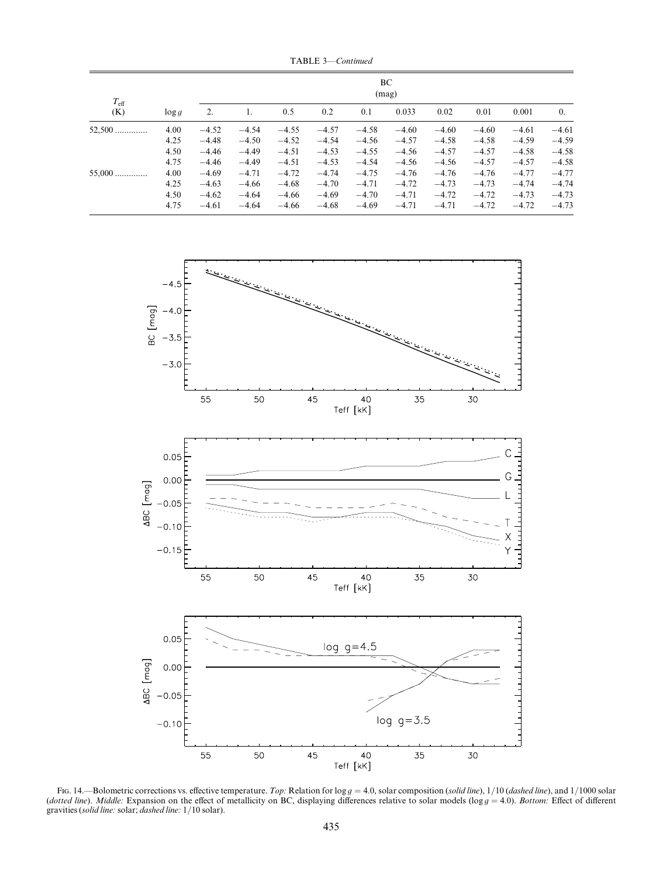TABLE 3—Continued

| $T_{\rm eff}$ |          |         | BC<br>(mag) |         |         |         |         |         |         |         |            |
|---------------|----------|---------|-------------|---------|---------|---------|---------|---------|---------|---------|------------|
| (K)           | $\log g$ | 2.      |             | 0.5     | 0.2     | 0.1     | 0.033   | 0.02    | 0.01    | 0.001   | $\theta$ . |
| $52,500$      | 4.00     | $-4.52$ | $-4.54$     | $-4.55$ | $-4.57$ | $-4.58$ | $-4.60$ | $-4.60$ | $-4.60$ | $-4.61$ | $-4.61$    |
|               | 4.25     | $-4.48$ | $-4.50$     | $-4.52$ | $-4.54$ | $-4.56$ | $-4.57$ | $-4.58$ | $-4.58$ | $-4.59$ | $-4.59$    |
|               | 4.50     | $-4.46$ | $-4.49$     | $-4.51$ | $-4.53$ | $-4.55$ | $-4.56$ | $-4.57$ | $-4.57$ | $-4.58$ | $-4.58$    |
|               | 4.75     | $-4.46$ | $-4.49$     | $-4.51$ | $-4.53$ | $-4.54$ | $-4.56$ | $-4.56$ | $-4.57$ | $-4.57$ | $-4.58$    |
| $55,000$      | 4.00     | $-4.69$ | $-4.71$     | $-4.72$ | $-4.74$ | $-4.75$ | $-4.76$ | $-4.76$ | $-4.76$ | $-4.77$ | $-4.77$    |
|               | 4.25     | $-4.63$ | $-4.66$     | $-4.68$ | $-4.70$ | $-4.71$ | $-4.72$ | $-4.73$ | $-4.73$ | $-4.74$ | $-4.74$    |
|               | 4.50     | $-4.62$ | $-4.64$     | $-4.66$ | $-4.69$ | $-4.70$ | $-4.71$ | $-4.72$ | $-4.72$ | $-4.73$ | $-4.73$    |
|               | 4.75     | $-4.61$ | $-4.64$     | $-4.66$ | $-4.68$ | $-4.69$ | $-4.71$ | $-4.71$ | $-4.72$ | $-4.72$ | $-4.73$    |



Fig. 14.—Bolometric corrections vs. effective temperature. Top: Relation for  $\log g = 4.0$ , solar composition (solid line),  $1/10$  (dashed line), and  $1/1000$  solar (dotted line). Middle: Expansion on the effect of metallicity on BC, displaying differences relative to solar models (log  $g = 4.0$ ). Bottom: Effect of different gravities (solid line: solar; dashed line: 1/10 solar).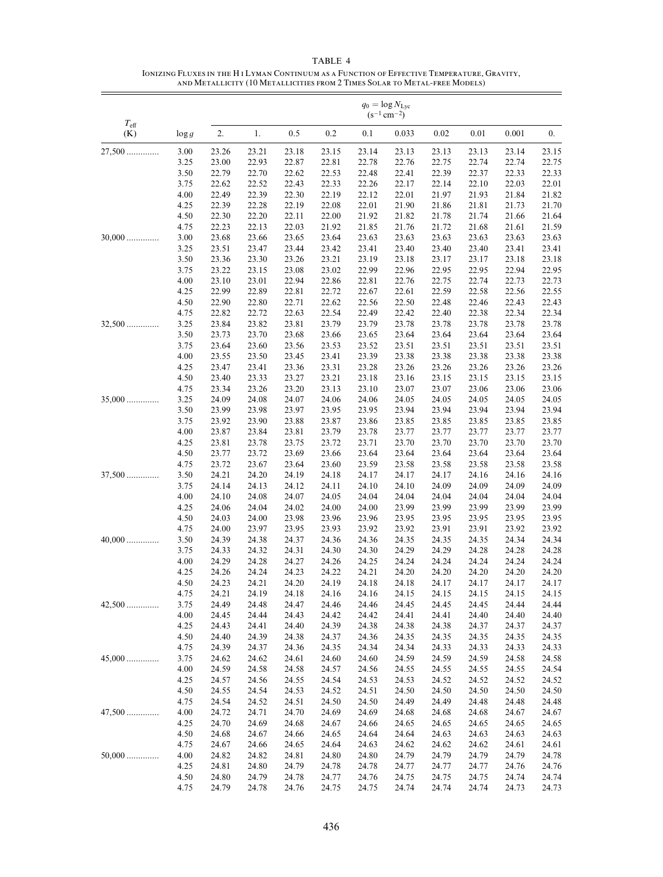|                      |              |                | $q_0 = \log N_{\rm Lyc}$<br>$(s^{-1}$ cm <sup>-2</sup> ) |                |                |                |                |                |                |                |                |  |  |
|----------------------|--------------|----------------|----------------------------------------------------------|----------------|----------------|----------------|----------------|----------------|----------------|----------------|----------------|--|--|
| $T_{\rm eff}$<br>(K) | $\log g$     | 2.             | 1.                                                       | 0.5            | 0.2            | 0.1            | 0.033          | 0.02           | 0.01           | 0.001          | 0.             |  |  |
| $27,500$             | 3.00         | 23.26          | 23.21                                                    | 23.18          | 23.15          | 23.14          | 23.13          | 23.13          | 23.13          | 23.14          | 23.15          |  |  |
|                      | 3.25         | 23.00          | 22.93                                                    | 22.87          | 22.81          | 22.78          | 22.76          | 22.75          | 22.74          | 22.74          | 22.75          |  |  |
|                      | 3.50         | 22.79          | 22.70                                                    | 22.62          | 22.53          | 22.48          | 22.41          | 22.39          | 22.37          | 22.33          | 22.33          |  |  |
|                      | 3.75         | 22.62          | 22.52                                                    | 22.43          | 22.33          | 22.26          | 22.17          | 22.14          | 22.10          | 22.03          | 22.01          |  |  |
|                      | 4.00         | 22.49          | 22.39                                                    | 22.30          | 22.19          | 22.12          | 22.01          | 21.97          | 21.93          | 21.84          | 21.82          |  |  |
|                      | 4.25         | 22.39          | 22.28                                                    | 22.19          | 22.08          | 22.01          | 21.90          | 21.86          | 21.81          | 21.73          | 21.70          |  |  |
|                      | 4.50         | 22.30          | 22.20                                                    | 22.11          | 22.00          | 21.92          | 21.82          | 21.78          | 21.74          | 21.66          | 21.64          |  |  |
|                      | 4.75         | 22.23          | 22.13                                                    | 22.03          | 21.92          | 21.85          | 21.76          | 21.72          | 21.68          | 21.61          | 21.59          |  |  |
| $30,000$             | 3.00         | 23.68          | 23.66                                                    | 23.65          | 23.64          | 23.63          | 23.63          | 23.63          | 23.63          | 23.63          | 23.63          |  |  |
|                      | 3.25         | 23.51          | 23.47                                                    | 23.44          | 23.42          | 23.41          | 23.40          | 23.40          | 23.40          | 23.41          | 23.41          |  |  |
|                      | 3.50         | 23.36          | 23.30                                                    | 23.26          | 23.21          | 23.19          | 23.18          | 23.17          | 23.17          | 23.18          | 23.18          |  |  |
|                      | 3.75         | 23.22          | 23.15                                                    | 23.08          | 23.02          | 22.99          | 22.96          | 22.95          | 22.95          | 22.94          | 22.95          |  |  |
|                      | 4.00         | 23.10          | 23.01                                                    | 22.94          | 22.86          | 22.81          | 22.76          | 22.75          | 22.74          | 22.73          | 22.73          |  |  |
|                      | 4.25         | 22.99          | 22.89                                                    | 22.81          | 22.72          | 22.67          | 22.61          | 22.59          | 22.58          | 22.56          | 22.55          |  |  |
|                      | 4.50         | 22.90          | 22.80                                                    | 22.71          | 22.62          | 22.56          | 22.50          | 22.48          | 22.46          | 22.43          | 22.43          |  |  |
|                      | 4.75         | 22.82          | 22.72                                                    | 22.63          | 22.54          | 22.49          | 22.42          | 22.40          | 22.38          | 22.34          | 22.34          |  |  |
| $32,500$             | 3.25         | 23.84          | 23.82                                                    | 23.81          | 23.79          | 23.79          | 23.78          | 23.78          | 23.78          | 23.78          | 23.78          |  |  |
|                      | 3.50<br>3.75 | 23.73<br>23.64 | 23.70<br>23.60                                           | 23.68<br>23.56 | 23.66          | 23.65          | 23.64          | 23.64          | 23.64<br>23.51 | 23.64<br>23.51 | 23.64          |  |  |
|                      | 4.00         | 23.55          | 23.50                                                    | 23.45          | 23.53<br>23.41 | 23.52<br>23.39 | 23.51<br>23.38 | 23.51<br>23.38 | 23.38          | 23.38          | 23.51<br>23.38 |  |  |
|                      | 4.25         | 23.47          | 23.41                                                    | 23.36          | 23.31          | 23.28          | 23.26          | 23.26          | 23.26          | 23.26          | 23.26          |  |  |
|                      | 4.50         | 23.40          | 23.33                                                    | 23.27          | 23.21          | 23.18          | 23.16          | 23.15          | 23.15          | 23.15          | 23.15          |  |  |
|                      | 4.75         | 23.34          | 23.26                                                    | 23.20          | 23.13          | 23.10          | 23.07          | 23.07          | 23.06          | 23.06          | 23.06          |  |  |
| $35,000$             | 3.25         | 24.09          | 24.08                                                    | 24.07          | 24.06          | 24.06          | 24.05          | 24.05          | 24.05          | 24.05          | 24.05          |  |  |
|                      | 3.50         | 23.99          | 23.98                                                    | 23.97          | 23.95          | 23.95          | 23.94          | 23.94          | 23.94          | 23.94          | 23.94          |  |  |
|                      | 3.75         | 23.92          | 23.90                                                    | 23.88          | 23.87          | 23.86          | 23.85          | 23.85          | 23.85          | 23.85          | 23.85          |  |  |
|                      | 4.00         | 23.87          | 23.84                                                    | 23.81          | 23.79          | 23.78          | 23.77          | 23.77          | 23.77          | 23.77          | 23.77          |  |  |
|                      | 4.25         | 23.81          | 23.78                                                    | 23.75          | 23.72          | 23.71          | 23.70          | 23.70          | 23.70          | 23.70          | 23.70          |  |  |
|                      | 4.50         | 23.77          | 23.72                                                    | 23.69          | 23.66          | 23.64          | 23.64          | 23.64          | 23.64          | 23.64          | 23.64          |  |  |
|                      | 4.75         | 23.72          | 23.67                                                    | 23.64          | 23.60          | 23.59          | 23.58          | 23.58          | 23.58          | 23.58          | 23.58          |  |  |
| $37,500$             | 3.50         | 24.21          | 24.20                                                    | 24.19          | 24.18          | 24.17          | 24.17          | 24.17          | 24.16          | 24.16          | 24.16          |  |  |
|                      | 3.75         | 24.14          | 24.13                                                    | 24.12          | 24.11          | 24.10          | 24.10          | 24.09          | 24.09          | 24.09          | 24.09          |  |  |
|                      | 4.00         | 24.10          | 24.08                                                    | 24.07          | 24.05          | 24.04          | 24.04          | 24.04          | 24.04          | 24.04          | 24.04          |  |  |
|                      | 4.25         | 24.06          | 24.04                                                    | 24.02          | 24.00          | 24.00          | 23.99          | 23.99          | 23.99          | 23.99          | 23.99          |  |  |
|                      | 4.50         | 24.03          | 24.00                                                    | 23.98          | 23.96          | 23.96          | 23.95          | 23.95          | 23.95          | 23.95          | 23.95          |  |  |
|                      | 4.75         | 24.00          | 23.97                                                    | 23.95          | 23.93          | 23.92          | 23.92          | 23.91          | 23.91          | 23.92          | 23.92          |  |  |
| $40,000$             | 3.50         | 24.39          | 24.38                                                    | 24.37          | 24.36          | 24.36          | 24.35          | 24.35          | 24.35          | 24.34          | 24.34          |  |  |
|                      | 3.75         | 24.33          | 24.32                                                    | 24.31          | 24.30          | 24.30          | 24.29          | 24.29          | 24.28          | 24.28          | 24.28          |  |  |
|                      | 4.00         | 24.29          | 24.28                                                    | 24.27          | 24.26          | 24.25          | 24.24          | 24.24          | 24.24          | 24.24          | 24.24          |  |  |
|                      | 4.25         | 24.26          | 24.24                                                    | 24.23          | 24.22          | 24.21          | 24.20          | 24.20          | 24.20          | 24.20          | 24.20          |  |  |
|                      | 4.50         | 24.23          | 24.21                                                    | 24.20          | 24.19          | 24.18          | 24.18          | 24.17          | 24.17          | 24.17          | 24.17          |  |  |
| $42,500$             | 4.75<br>3.75 | 24.21<br>24.49 | 24.19<br>24.48                                           | 24.18<br>24.47 | 24.16<br>24.46 | 24.16<br>24.46 | 24.15<br>24.45 | 24.15<br>24.45 | 24.15<br>24.45 | 24.15<br>24.44 | 24.15<br>24.44 |  |  |
|                      | 4.00         | 24.45          | 24.44                                                    | 24.43          | 24.42          | 24.42          | 24.41          | 24.41          | 24.40          | 24.40          | 24.40          |  |  |
|                      | 4.25         | 24.43          | 24.41                                                    | 24.40          | 24.39          | 24.38          | 24.38          | 24.38          | 24.37          | 24.37          | 24.37          |  |  |
|                      | 4.50         | 24.40          | 24.39                                                    | 24.38          | 24.37          | 24.36          | 24.35          | 24.35          | 24.35          | 24.35          | 24.35          |  |  |
|                      | 4.75         | 24.39          | 24.37                                                    | 24.36          | 24.35          | 24.34          | 24.34          | 24.33          | 24.33          | 24.33          | 24.33          |  |  |
| $45,000$             | 3.75         | 24.62          | 24.62                                                    | 24.61          | 24.60          | 24.60          | 24.59          | 24.59          | 24.59          | 24.58          | 24.58          |  |  |
|                      | 4.00         | 24.59          | 24.58                                                    | 24.58          | 24.57          | 24.56          | 24.55          | 24.55          | 24.55          | 24.55          | 24.54          |  |  |
|                      | 4.25         | 24.57          | 24.56                                                    | 24.55          | 24.54          | 24.53          | 24.53          | 24.52          | 24.52          | 24.52          | 24.52          |  |  |
|                      | 4.50         | 24.55          | 24.54                                                    | 24.53          | 24.52          | 24.51          | 24.50          | 24.50          | 24.50          | 24.50          | 24.50          |  |  |
|                      | 4.75         | 24.54          | 24.52                                                    | 24.51          | 24.50          | 24.50          | 24.49          | 24.49          | 24.48          | 24.48          | 24.48          |  |  |
| $47,500$             | 4.00         | 24.72          | 24.71                                                    | 24.70          | 24.69          | 24.69          | 24.68          | 24.68          | 24.68          | 24.67          | 24.67          |  |  |
|                      | 4.25         | 24.70          | 24.69                                                    | 24.68          | 24.67          | 24.66          | 24.65          | 24.65          | 24.65          | 24.65          | 24.65          |  |  |
|                      | 4.50         | 24.68          | 24.67                                                    | 24.66          | 24.65          | 24.64          | 24.64          | 24.63          | 24.63          | 24.63          | 24.63          |  |  |
|                      | 4.75         | 24.67          | 24.66                                                    | 24.65          | 24.64          | 24.63          | 24.62          | 24.62          | 24.62          | 24.61          | 24.61          |  |  |
| $50,000$             | 4.00         | 24.82          | 24.82                                                    | 24.81          | 24.80          | 24.80          | 24.79          | 24.79          | 24.79          | 24.79          | 24.78          |  |  |
|                      | 4.25         | 24.81          | 24.80                                                    | 24.79          | 24.78          | 24.78          | 24.77          | 24.77          | 24.77          | 24.76          | 24.76          |  |  |
|                      | 4.50         | 24.80          | 24.79                                                    | 24.78          | 24.77          | 24.76          | 24.75          | 24.75          | 24.75          | 24.74          | 24.74          |  |  |
|                      | 4.75         | 24.79          | 24.78                                                    | 24.76          | 24.75          | 24.75          | 24.74          | 24.74          | 24.74          | 24.73          | 24.73          |  |  |

# TABLE 4 Ionizing Fluxes in the H i Lyman Continuum as a Function of Effective Temperature, Gravity, and Metallicity (10 Metallicities from 2 Times Solar to Metal-free Models)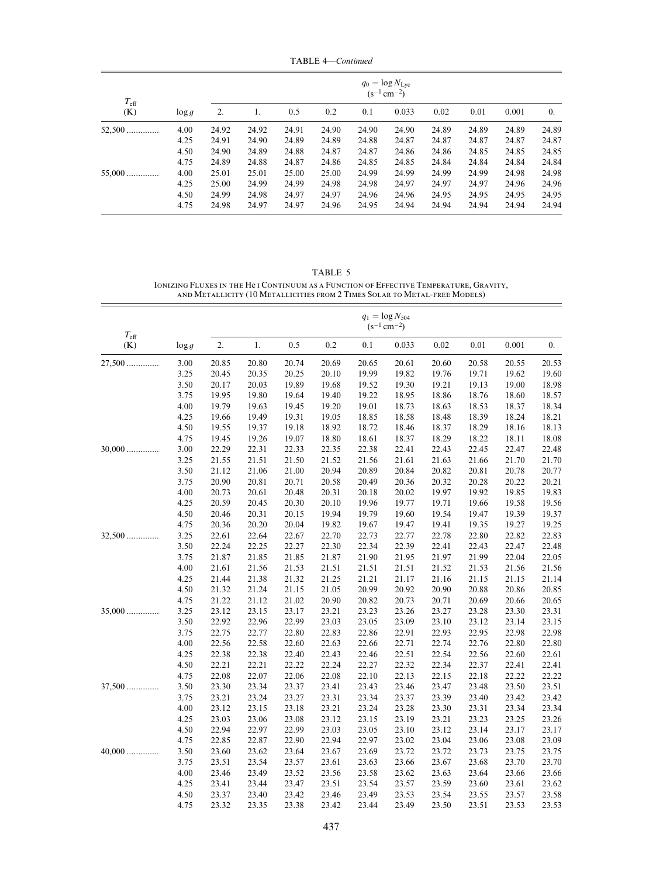TABLE 4—Continued

| $T_{\rm eff}$<br>(K) |          |       | $q_0 = \log N_{\rm Lyc}$<br>$(s^{-1}$ cm <sup>-2</sup> ) |       |       |       |       |       |       |       |            |  |
|----------------------|----------|-------|----------------------------------------------------------|-------|-------|-------|-------|-------|-------|-------|------------|--|
|                      | $\log g$ | 2.    | 1.                                                       | 0.5   | 0.2   | 0.1   | 0.033 | 0.02  | 0.01  | 0.001 | $\theta$ . |  |
| $52,500$             | 4.00     | 24.92 | 24.92                                                    | 24.91 | 24.90 | 24.90 | 24.90 | 24.89 | 24.89 | 24.89 | 24.89      |  |
|                      | 4.25     | 24.91 | 24.90                                                    | 24.89 | 24.89 | 24.88 | 24.87 | 24.87 | 24.87 | 24.87 | 24.87      |  |
|                      | 4.50     | 24.90 | 24.89                                                    | 24.88 | 24.87 | 24.87 | 24.86 | 24.86 | 24.85 | 24.85 | 24.85      |  |
|                      | 4.75     | 24.89 | 24.88                                                    | 24.87 | 24.86 | 24.85 | 24.85 | 24.84 | 24.84 | 24.84 | 24.84      |  |
| $55,000$             | 4.00     | 25.01 | 25.01                                                    | 25.00 | 25.00 | 24.99 | 24.99 | 24.99 | 24.99 | 24.98 | 24.98      |  |
|                      | 4.25     | 25.00 | 24.99                                                    | 24.99 | 24.98 | 24.98 | 24.97 | 24.97 | 24.97 | 24.96 | 24.96      |  |
|                      | 4.50     | 24.99 | 24.98                                                    | 24.97 | 24.97 | 24.96 | 24.96 | 24.95 | 24.95 | 24.95 | 24.95      |  |
|                      | 4.75     | 24.98 | 24.97                                                    | 24.97 | 24.96 | 24.95 | 24.94 | 24.94 | 24.94 | 24.94 | 24.94      |  |

TABLE 5 Ionizing Fluxes in the He i Continuum as a Function of Effective Temperature, Gravity, and Metallicity (10 Metallicities from 2 Times Solar to Metal-free Models)

|                      |          |       | $q_1 = \log N_{504}$<br>$(s^{-1}$ cm <sup>-2</sup> ) |       |       |       |       |       |       |       |                  |  |  |
|----------------------|----------|-------|------------------------------------------------------|-------|-------|-------|-------|-------|-------|-------|------------------|--|--|
| $T_{\rm eff}$<br>(K) | $\log g$ | 2.    | 1.                                                   | 0.5   | 0.2   | 0.1   | 0.033 | 0.02  | 0.01  | 0.001 | $\overline{0}$ . |  |  |
| $27,500$             | 3.00     | 20.85 | 20.80                                                | 20.74 | 20.69 | 20.65 | 20.61 | 20.60 | 20.58 | 20.55 | 20.53            |  |  |
|                      | 3.25     | 20.45 | 20.35                                                | 20.25 | 20.10 | 19.99 | 19.82 | 19.76 | 19.71 | 19.62 | 19.60            |  |  |
|                      | 3.50     | 20.17 | 20.03                                                | 19.89 | 19.68 | 19.52 | 19.30 | 19.21 | 19.13 | 19.00 | 18.98            |  |  |
|                      | 3.75     | 19.95 | 19.80                                                | 19.64 | 19.40 | 19.22 | 18.95 | 18.86 | 18.76 | 18.60 | 18.57            |  |  |
|                      | 4.00     | 19.79 | 19.63                                                | 19.45 | 19.20 | 19.01 | 18.73 | 18.63 | 18.53 | 18.37 | 18.34            |  |  |
|                      | 4.25     | 19.66 | 19.49                                                | 19.31 | 19.05 | 18.85 | 18.58 | 18.48 | 18.39 | 18.24 | 18.21            |  |  |
|                      | 4.50     | 19.55 | 19.37                                                | 19.18 | 18.92 | 18.72 | 18.46 | 18.37 | 18.29 | 18.16 | 18.13            |  |  |
|                      | 4.75     | 19.45 | 19.26                                                | 19.07 | 18.80 | 18.61 | 18.37 | 18.29 | 18.22 | 18.11 | 18.08            |  |  |
| $30,000$             | 3.00     | 22.29 | 22.31                                                | 22.33 | 22.35 | 22.38 | 22.41 | 22.43 | 22.45 | 22.47 | 22.48            |  |  |
|                      | 3.25     | 21.55 | 21.51                                                | 21.50 | 21.52 | 21.56 | 21.61 | 21.63 | 21.66 | 21.70 | 21.70            |  |  |
|                      | 3.50     | 21.12 | 21.06                                                | 21.00 | 20.94 | 20.89 | 20.84 | 20.82 | 20.81 | 20.78 | 20.77            |  |  |
|                      | 3.75     | 20.90 | 20.81                                                | 20.71 | 20.58 | 20.49 | 20.36 | 20.32 | 20.28 | 20.22 | 20.21            |  |  |
|                      | 4.00     | 20.73 | 20.61                                                | 20.48 | 20.31 | 20.18 | 20.02 | 19.97 | 19.92 | 19.85 | 19.83            |  |  |
|                      | 4.25     | 20.59 | 20.45                                                | 20.30 | 20.10 | 19.96 | 19.77 | 19.71 | 19.66 | 19.58 | 19.56            |  |  |
|                      | 4.50     | 20.46 | 20.31                                                | 20.15 | 19.94 | 19.79 | 19.60 | 19.54 | 19.47 | 19.39 | 19.37            |  |  |
|                      | 4.75     | 20.36 | 20.20                                                | 20.04 | 19.82 | 19.67 | 19.47 | 19.41 | 19.35 | 19.27 | 19.25            |  |  |
| $32,500$             | 3.25     | 22.61 | 22.64                                                | 22.67 | 22.70 | 22.73 | 22.77 | 22.78 | 22.80 | 22.82 | 22.83            |  |  |
|                      | 3.50     | 22.24 | 22.25                                                | 22.27 | 22.30 | 22.34 | 22.39 | 22.41 | 22.43 | 22.47 | 22.48            |  |  |
|                      | 3.75     | 21.87 | 21.85                                                | 21.85 | 21.87 | 21.90 | 21.95 | 21.97 | 21.99 | 22.04 | 22.05            |  |  |
|                      | 4.00     | 21.61 | 21.56                                                | 21.53 | 21.51 | 21.51 | 21.51 | 21.52 | 21.53 | 21.56 | 21.56            |  |  |
|                      | 4.25     | 21.44 | 21.38                                                | 21.32 | 21.25 | 21.21 | 21.17 | 21.16 | 21.15 | 21.15 | 21.14            |  |  |
|                      | 4.50     | 21.32 | 21.24                                                | 21.15 | 21.05 | 20.99 | 20.92 | 20.90 | 20.88 | 20.86 | 20.85            |  |  |
|                      | 4.75     | 21.22 | 21.12                                                | 21.02 | 20.90 | 20.82 | 20.73 | 20.71 | 20.69 | 20.66 | 20.65            |  |  |
| $35,000$             | 3.25     | 23.12 | 23.15                                                | 23.17 | 23.21 | 23.23 | 23.26 | 23.27 | 23.28 | 23.30 | 23.31            |  |  |
|                      | 3.50     | 22.92 | 22.96                                                | 22.99 | 23.03 | 23.05 | 23.09 | 23.10 | 23.12 | 23.14 | 23.15            |  |  |
|                      | 3.75     | 22.75 | 22.77                                                | 22.80 | 22.83 | 22.86 | 22.91 | 22.93 | 22.95 | 22.98 | 22.98            |  |  |
|                      | 4.00     | 22.56 | 22.58                                                | 22.60 | 22.63 | 22.66 | 22.71 | 22.74 | 22.76 | 22.80 | 22.80            |  |  |
|                      | 4.25     | 22.38 | 22.38                                                | 22.40 | 22.43 | 22.46 | 22.51 | 22.54 | 22.56 | 22.60 | 22.61            |  |  |
|                      | 4.50     | 22.21 | 22.21                                                | 22.22 | 22.24 | 22.27 | 22.32 | 22.34 | 22.37 | 22.41 | 22.41            |  |  |
|                      | 4.75     | 22.08 | 22.07                                                | 22.06 | 22.08 | 22.10 | 22.13 | 22.15 | 22.18 | 22.22 | 22.22            |  |  |
| $37,500$             | 3.50     | 23.30 | 23.34                                                | 23.37 | 23.41 | 23.43 | 23.46 | 23.47 | 23.48 | 23.50 | 23.51            |  |  |
|                      | 3.75     | 23.21 | 23.24                                                | 23.27 | 23.31 | 23.34 | 23.37 | 23.39 | 23.40 | 23.42 | 23.42            |  |  |
|                      | 4.00     | 23.12 | 23.15                                                | 23.18 | 23.21 | 23.24 | 23.28 | 23.30 | 23.31 | 23.34 | 23.34            |  |  |
|                      | 4.25     | 23.03 | 23.06                                                | 23.08 | 23.12 | 23.15 | 23.19 | 23.21 | 23.23 | 23.25 | 23.26            |  |  |
|                      | 4.50     | 22.94 | 22.97                                                | 22.99 | 23.03 | 23.05 | 23.10 | 23.12 | 23.14 | 23.17 | 23.17            |  |  |
|                      | 4.75     | 22.85 | 22.87                                                | 22.90 | 22.94 | 22.97 | 23.02 | 23.04 | 23.06 | 23.08 | 23.09            |  |  |
| $40,000$             | 3.50     | 23.60 | 23.62                                                | 23.64 | 23.67 | 23.69 | 23.72 | 23.72 | 23.73 | 23.75 | 23.75            |  |  |
|                      | 3.75     | 23.51 | 23.54                                                | 23.57 | 23.61 | 23.63 | 23.66 | 23.67 | 23.68 | 23.70 | 23.70            |  |  |
|                      | 4.00     | 23.46 | 23.49                                                | 23.52 | 23.56 | 23.58 | 23.62 | 23.63 | 23.64 | 23.66 | 23.66            |  |  |
|                      | 4.25     | 23.41 | 23.44                                                | 23.47 | 23.51 | 23.54 | 23.57 | 23.59 | 23.60 | 23.61 | 23.62            |  |  |
|                      | 4.50     | 23.37 | 23.40                                                | 23.42 | 23.46 | 23.49 | 23.53 | 23.54 | 23.55 | 23.57 | 23.58            |  |  |
|                      | 4.75     | 23.32 | 23.35                                                | 23.38 | 23.42 | 23.44 | 23.49 | 23.50 | 23.51 | 23.53 | 23.53            |  |  |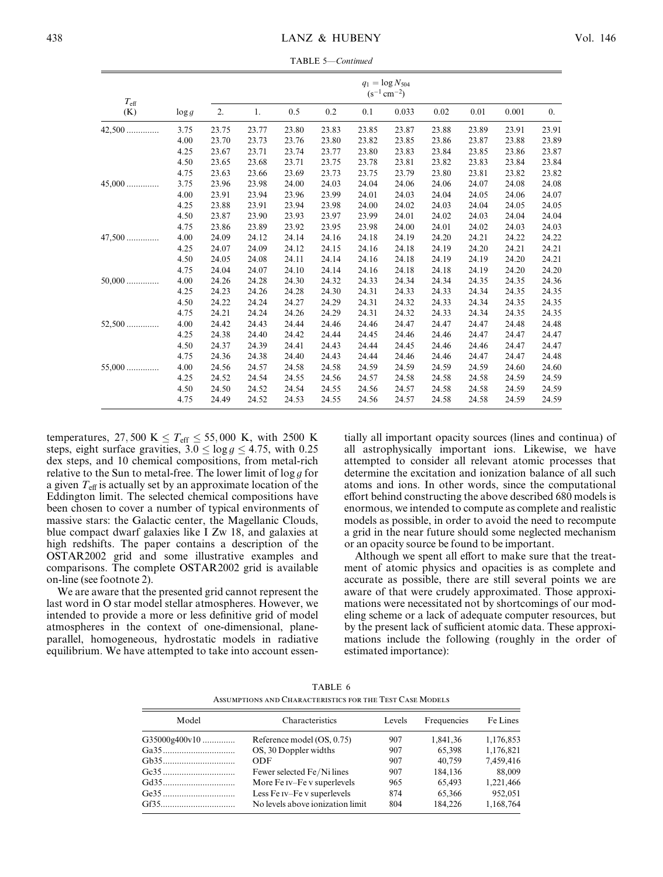TABLE 5—Continued

| $T_{\rm eff}$ |          | $q_1 = \log N_{504}$<br>$(s^{-1}$ cm <sup>-2</sup> ) |       |       |       |       |       |       |       |       |                  |
|---------------|----------|------------------------------------------------------|-------|-------|-------|-------|-------|-------|-------|-------|------------------|
| (K)           | $\log g$ | 2.                                                   | 1.    | 0.5   | 0.2   | 0.1   | 0.033 | 0.02  | 0.01  | 0.001 | $\overline{0}$ . |
| 42,500        | 3.75     | 23.75                                                | 23.77 | 23.80 | 23.83 | 23.85 | 23.87 | 23.88 | 23.89 | 23.91 | 23.91            |
|               | 4.00     | 23.70                                                | 23.73 | 23.76 | 23.80 | 23.82 | 23.85 | 23.86 | 23.87 | 23.88 | 23.89            |
|               | 4.25     | 23.67                                                | 23.71 | 23.74 | 23.77 | 23.80 | 23.83 | 23.84 | 23.85 | 23.86 | 23.87            |
|               | 4.50     | 23.65                                                | 23.68 | 23.71 | 23.75 | 23.78 | 23.81 | 23.82 | 23.83 | 23.84 | 23.84            |
|               | 4.75     | 23.63                                                | 23.66 | 23.69 | 23.73 | 23.75 | 23.79 | 23.80 | 23.81 | 23.82 | 23.82            |
| $45,000$      | 3.75     | 23.96                                                | 23.98 | 24.00 | 24.03 | 24.04 | 24.06 | 24.06 | 24.07 | 24.08 | 24.08            |
|               | 4.00     | 23.91                                                | 23.94 | 23.96 | 23.99 | 24.01 | 24.03 | 24.04 | 24.05 | 24.06 | 24.07            |
|               | 4.25     | 23.88                                                | 23.91 | 23.94 | 23.98 | 24.00 | 24.02 | 24.03 | 24.04 | 24.05 | 24.05            |
|               | 4.50     | 23.87                                                | 23.90 | 23.93 | 23.97 | 23.99 | 24.01 | 24.02 | 24.03 | 24.04 | 24.04            |
|               | 4.75     | 23.86                                                | 23.89 | 23.92 | 23.95 | 23.98 | 24.00 | 24.01 | 24.02 | 24.03 | 24.03            |
| $47,500$      | 4.00     | 24.09                                                | 24.12 | 24.14 | 24.16 | 24.18 | 24.19 | 24.20 | 24.21 | 24.22 | 24.22            |
|               | 4.25     | 24.07                                                | 24.09 | 24.12 | 24.15 | 24.16 | 24.18 | 24.19 | 24.20 | 24.21 | 24.21            |
|               | 4.50     | 24.05                                                | 24.08 | 24.11 | 24.14 | 24.16 | 24.18 | 24.19 | 24.19 | 24.20 | 24.21            |
|               | 4.75     | 24.04                                                | 24.07 | 24.10 | 24.14 | 24.16 | 24.18 | 24.18 | 24.19 | 24.20 | 24.20            |
| $50,000$      | 4.00     | 24.26                                                | 24.28 | 24.30 | 24.32 | 24.33 | 24.34 | 24.34 | 24.35 | 24.35 | 24.36            |
|               | 4.25     | 24.23                                                | 24.26 | 24.28 | 24.30 | 24.31 | 24.33 | 24.33 | 24.34 | 24.35 | 24.35            |
|               | 4.50     | 24.22                                                | 24.24 | 24.27 | 24.29 | 24.31 | 24.32 | 24.33 | 24.34 | 24.35 | 24.35            |
|               | 4.75     | 24.21                                                | 24.24 | 24.26 | 24.29 | 24.31 | 24.32 | 24.33 | 24.34 | 24.35 | 24.35            |
| $52,500$      | 4.00     | 24.42                                                | 24.43 | 24.44 | 24.46 | 24.46 | 24.47 | 24.47 | 24.47 | 24.48 | 24.48            |
|               | 4.25     | 24.38                                                | 24.40 | 24.42 | 24.44 | 24.45 | 24.46 | 24.46 | 24.47 | 24.47 | 24.47            |
|               | 4.50     | 24.37                                                | 24.39 | 24.41 | 24.43 | 24.44 | 24.45 | 24.46 | 24.46 | 24.47 | 24.47            |
|               | 4.75     | 24.36                                                | 24.38 | 24.40 | 24.43 | 24.44 | 24.46 | 24.46 | 24.47 | 24.47 | 24.48            |
| $55,000$      | 4.00     | 24.56                                                | 24.57 | 24.58 | 24.58 | 24.59 | 24.59 | 24.59 | 24.59 | 24.60 | 24.60            |
|               | 4.25     | 24.52                                                | 24.54 | 24.55 | 24.56 | 24.57 | 24.58 | 24.58 | 24.58 | 24.59 | 24.59            |
|               | 4.50     | 24.50                                                | 24.52 | 24.54 | 24.55 | 24.56 | 24.57 | 24.58 | 24.58 | 24.59 | 24.59            |
|               | 4.75     | 24.49                                                | 24.52 | 24.53 | 24.55 | 24.56 | 24.57 | 24.58 | 24.58 | 24.59 | 24.59            |

temperatures, 27,500 K  $\leq T_{\text{eff}} \leq 55,000$  K, with 2500 K steps, eight surface gravities,  $3.0 \le \log g \le 4.75$ , with 0.25 dex steps, and 10 chemical compositions, from metal-rich relative to the Sun to metal-free. The lower limit of  $\log g$  for a given  $T_{\text{eff}}$  is actually set by an approximate location of the Eddington limit. The selected chemical compositions have been chosen to cover a number of typical environments of massive stars: the Galactic center, the Magellanic Clouds, blue compact dwarf galaxies like I Zw 18, and galaxies at high redshifts. The paper contains a description of the OSTAR2002 grid and some illustrative examples and comparisons. The complete OSTAR2002 grid is available on-line (see footnote 2).

We are aware that the presented grid cannot represent the last word in O star model stellar atmospheres. However, we intended to provide a more or less definitive grid of model atmospheres in the context of one-dimensional, planeparallel, homogeneous, hydrostatic models in radiative equilibrium. We have attempted to take into account essen-

tially all important opacity sources (lines and continua) of all astrophysically important ions. Likewise, we have attempted to consider all relevant atomic processes that determine the excitation and ionization balance of all such atoms and ions. In other words, since the computational effort behind constructing the above described 680 models is enormous, we intended to compute as complete and realistic models as possible, in order to avoid the need to recompute a grid in the near future should some neglected mechanism or an opacity source be found to be important.

Although we spent all effort to make sure that the treatment of atomic physics and opacities is as complete and accurate as possible, there are still several points we are aware of that were crudely approximated. Those approximations were necessitated not by shortcomings of our modeling scheme or a lack of adequate computer resources, but by the present lack of sufficient atomic data. These approximations include the following (roughly in the order of estimated importance):

TABLE 6 Assumptions and Characteristics for the Test Case Models

| Model           | Characteristics                  | Levels | Frequencies | Fe Lines  |
|-----------------|----------------------------------|--------|-------------|-----------|
| $G35000g400v10$ | Reference model (OS, 0.75)       | 907    | 1,841,36    | 1,176,853 |
|                 | OS, 30 Doppler widths            | 907    | 65,398      | 1,176,821 |
| Gb35            | ODE                              | 907    | 40.759      | 7,459,416 |
|                 | Fewer selected Fe/Ni lines       | 907    | 184,136     | 88,009    |
|                 | More Fe IV-Fe v superlevels      | 965    | 65,493      | 1,221,466 |
|                 | Less Fe IV-Fe v superlevels      | 874    | 65.366      | 952,051   |
|                 | No levels above ionization limit | 804    | 184.226     | 1,168,764 |
|                 |                                  |        |             |           |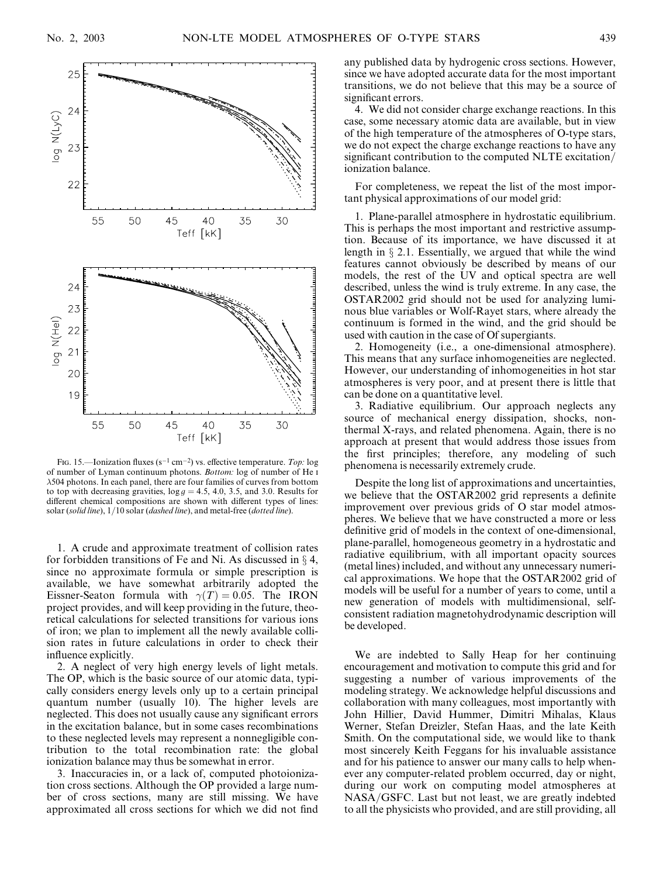

FIG. 15.—Ionization fluxes (s<sup>-1</sup> cm<sup>-2</sup>) vs. effective temperature. Top: log of number of Lyman continuum photons. Bottom: log of number of He i 504 photons. In each panel, there are four families of curves from bottom to top with decreasing gravities,  $\log g = 4.5$ , 4.0, 3.5, and 3.0. Results for different chemical compositions are shown with different types of lines: solar (solid line),  $1/10$  solar (dashed line), and metal-free (dotted line).

1. A crude and approximate treatment of collision rates for forbidden transitions of Fe and Ni. As discussed in  $\S$  4, since no approximate formula or simple prescription is available, we have somewhat arbitrarily adopted the Eissner-Seaton formula with  $\gamma(T) = 0.05$ . The IRON project provides, and will keep providing in the future, theoretical calculations for selected transitions for various ions of iron; we plan to implement all the newly available collision rates in future calculations in order to check their influence explicitly.

2. A neglect of very high energy levels of light metals. The OP, which is the basic source of our atomic data, typically considers energy levels only up to a certain principal quantum number (usually 10). The higher levels are neglected. This does not usually cause any significant errors in the excitation balance, but in some cases recombinations to these neglected levels may represent a nonnegligible contribution to the total recombination rate: the global ionization balance may thus be somewhat in error.

3. Inaccuracies in, or a lack of, computed photoionization cross sections. Although the OP provided a large number of cross sections, many are still missing. We have approximated all cross sections for which we did not find

any published data by hydrogenic cross sections. However, since we have adopted accurate data for the most important transitions, we do not believe that this may be a source of significant errors.

4. We did not consider charge exchange reactions. In this case, some necessary atomic data are available, but in view of the high temperature of the atmospheres of O-type stars, we do not expect the charge exchange reactions to have any significant contribution to the computed NLTE excitation/ ionization balance.

For completeness, we repeat the list of the most important physical approximations of our model grid:

1. Plane-parallel atmosphere in hydrostatic equilibrium. This is perhaps the most important and restrictive assumption. Because of its importance, we have discussed it at length in  $\S 2.1$ . Essentially, we argued that while the wind features cannot obviously be described by means of our models, the rest of the UV and optical spectra are well described, unless the wind is truly extreme. In any case, the OSTAR2002 grid should not be used for analyzing luminous blue variables or Wolf-Rayet stars, where already the continuum is formed in the wind, and the grid should be used with caution in the case of Of supergiants.

2. Homogeneity (i.e., a one-dimensional atmosphere). This means that any surface inhomogeneities are neglected. However, our understanding of inhomogeneities in hot star atmospheres is very poor, and at present there is little that can be done on a quantitative level.

3. Radiative equilibrium. Our approach neglects any source of mechanical energy dissipation, shocks, nonthermal X-rays, and related phenomena. Again, there is no approach at present that would address those issues from the first principles; therefore, any modeling of such phenomena is necessarily extremely crude.

Despite the long list of approximations and uncertainties, we believe that the OSTAR2002 grid represents a definite improvement over previous grids of O star model atmospheres. We believe that we have constructed a more or less definitive grid of models in the context of one-dimensional, plane-parallel, homogeneous geometry in a hydrostatic and radiative equilibrium, with all important opacity sources (metal lines) included, and without any unnecessary numerical approximations. We hope that the OSTAR2002 grid of models will be useful for a number of years to come, until a new generation of models with multidimensional, selfconsistent radiation magnetohydrodynamic description will be developed.

We are indebted to Sally Heap for her continuing encouragement and motivation to compute this grid and for suggesting a number of various improvements of the modeling strategy. We acknowledge helpful discussions and collaboration with many colleagues, most importantly with John Hillier, David Hummer, Dimitri Mihalas, Klaus Werner, Stefan Dreizler, Stefan Haas, and the late Keith Smith. On the computational side, we would like to thank most sincerely Keith Feggans for his invaluable assistance and for his patience to answer our many calls to help whenever any computer-related problem occurred, day or night, during our work on computing model atmospheres at NASA/GSFC. Last but not least, we are greatly indebted to all the physicists who provided, and are still providing, all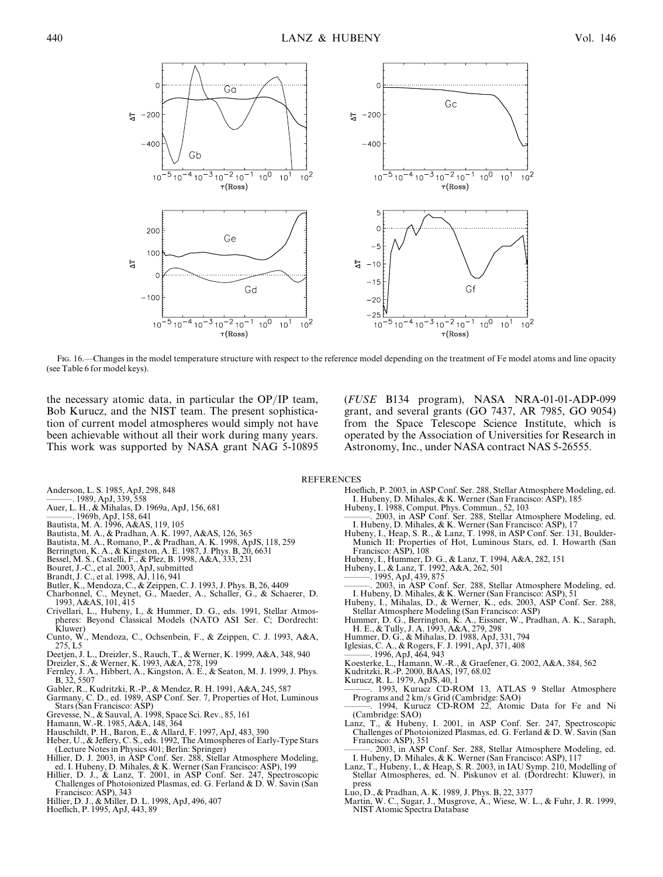

Fig. 16.—Changes in the model temperature structure with respect to the reference model depending on the treatment of Fe model atoms and line opacity (see Table 6 for model keys).

the necessary atomic data, in particular the OP/IP team, Bob Kurucz, and the NIST team. The present sophistication of current model atmospheres would simply not have been achievable without all their work during many years. This work was supported by NASA grant NAG 5-10895 (FUSE B134 program), NASA NRA-01-01-ADP-099 grant, and several grants (GO 7437, AR 7985, GO 9054) from the Space Telescope Science Institute, which is operated by the Association of Universities for Research in Astronomy, Inc., under NASA contract NAS 5-26555.

**REFERENCES** 

- Anderson, L. S. 1985, ApJ, 298, 848 ———. 1989, ApJ, 339, 558
- Auer, L. H., & Mihalas, D. 1969a, ApJ, 156, 681
- ———. 1969b, ApJ, 158, 641
- Bautista, M. A. 1996, A&AS, 119, 105
- 
- Bautista, M. A., & Pradhan, A. K. 1997, A&AS, 126, 365 Bautista, M. A., Romano, P., & Pradhan, A. K. 1998, ApJS, 118, 259
- Berrington, K. A., & Kingston, A. E. 1987, J. Phys. B, 20, 6631
- 
- 
- 
- 
- Bessel, M. S., Castelli, F., & Plez, B. 1998, A&A, 333, 231<br>Bouret, J.-C., et al. 2003, ApJ, submitted<br>Brandt, J. C., et al. 1998, AJ, 116, 941<br>Butler, K., Mendoza, C., & Zeippen, C. J. 1993, J. Phys. B, 26, 4409<br>Charbonne 1993, A&AS, 101, 415
- Crivellari, L., Hubeny, I., & Hummer, D. G., eds. 1991, Stellar Atmospheres: Beyond Classical Models (NATO ASI Ser. C; Dordrecht: Kluwer)
- Cunto, W., Mendoza, C., Ochsenbein, F., & Zeippen, C. J. 1993, A&A, 275, L5
- Deetjen, J. L., Dreizler, S., Rauch, T., & Werner, K. 1999, A&A, 348, 940
- Dreizler, S., & Werner, K. 1993, A&A, 278, 199
- Fernley, J. A., Hibbert, A., Kingston, A. E., & Seaton, M. J. 1999, J. Phys. B, 32, 5507
- Gabler, R., Kudritzki, R.-P., & Mendez, R. H. 1991, A&A, 245, 587
- Garmany, C. D., ed. 1989, ASP Conf. Ser. 7, Properties of Hot, Luminous Stars (San Francisco: ASP)
- Grevesse, N., & Sauval, A. 1998, Space Sci. Rev., 85, 161 Hamann, W.-R. 1985, A&A, 148, 364
- 
- Hauschildt, P. H., Baron, E., & Allard, F. 1997, ApJ, 483, 390
- Heber, U., & Jeffery, C. S., eds. 1992, The Atmospheres of Early-Type Stars (Lecture Notes in Physics 401; Berlin: Springer) Hillier, D. J. 2003, in ASP Conf. Ser. 288, Stellar Atmosphere Modeling,
- ed. I. Hubeny, D. Mihales, & K. Werner (San Francisco: ASP), 199 Hillier, D. J., & Lanz, T. 2001, in ASP Conf. Ser. 247, Spectroscopic
- Challenges of Photoionized Plasmas, ed. G. Ferland & D. W. Savin (San Francisco: ASP), 343
- Hillier, D. J., & Miller, D. L. 1998, ApJ, 496, 407
- Hoeflich, P. 1995, ApJ, 443, 89
- Hoeflich, P. 2003, in ASP Conf. Ser. 288, Stellar Atmosphere Modeling, ed. I. Hubeny, D. Mihales, & K. Werner (San Francisco: ASP), 185
- Hubeny, I. 1988, Comput. Phys. Commun., 52, 103 ———. 2003, in ASP Conf. Ser. 288, Stellar Atmosphere Modeling, ed.
- I. Hubeny, D. Mihales, & K. Werner (San Francisco: ASP), 17 Hubeny, I., Heap, S. R., & Lanz, T. 1998, in ASP Conf. Ser. 131, Boulder-Munich II: Properties of Hot, Luminous Stars, ed. I. Howarth (San
	- Francisco: ASP), 108
- Hubeny, I., Hummer, D. G., & Lanz, T. 1994, A&A, 282, 151 Hubeny, I., & Lanz, T. 1992, A&A, 262, 501 ———. 1995, ApJ, 439, 875
	-
	-
- ———. 2003, in ASP Conf. Ser. 288, Stellar Atmosphere Modeling, ed.
- I. Hubeny, D. Mihales, & K. Werner (San Francisco: ASP), 51 Hubeny, I., Mihalas, D., & Werner, K., eds. 2003, ASP Conf. Ser. 288, Stellar Atmosphere Modeling (San Francisco: ASP)
- Hummer, D. G., Berrington, K. A., Eissner, W., Pradhan, A. K., Saraph, H. E., & Tully, J. A. 1993, A&A, 279, 298
- Hummer, D. G., & Mihalas, D. 1988, ApJ, 331, 794
- 
- Iglesias, C. A., & Rogers, F. J. 1991, ApJ, 371, 408 ———. 1996, ApJ, 464, 943
- Koesterke, L., Hamann, W.-R., & Graefener, G. 2002, A&A, 384, 562
- 
- Kudritzki, R.-P. 2000, BAAS, 197, 68.02 Kurucz, R. L. 1979, ApJS, 40, 1

1993, Kurucz CD-ROM 13, ATLAS 9 Stellar Atmosphere Programs and 2 km/s Grid (Cambridge: SAO)

- 1994, Kurucz CD-ROM 22, Atomic Data for Fe and Ni (Cambridge: SAO) Lanz, T., & Hubeny, I. 2001, in ASP Conf. Ser. 247, Spectroscopic
- Challenges of Photoionized Plasmas, ed. G. Ferland & D. W. Savin (San Francisco: ASP), 351
- ———. 2003, in ASP Conf. Ser. 288, Stellar Atmosphere Modeling, ed. I. Hubeny, D. Mihales, & K. Werner (San Francisco: ASP), 117
- Lanz, T., Hubeny, I., & Heap, S. R. 2003, in IAU Symp. 210, Modelling of Stellar Atmospheres, ed. N. Piskunov et al. (Dordrecht: Kluwer), in press
- Luo, D., & Pradhan, A. K. 1989, J. Phys. B, 22, 3377
- Martin, W. C., Sugar, J., Musgrove, A., Wiese, W. L., & Fuhr, J. R. 1999, NIST Atomic Spectra Database